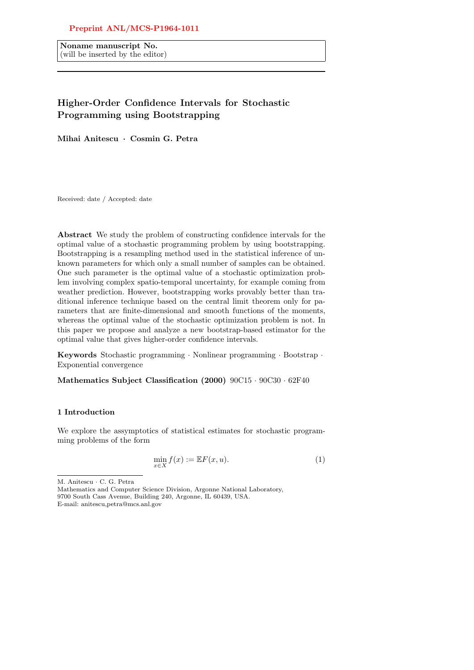# Preprint ANL/MCS-P1964-1011

Noname manuscript No. (will be inserted by the editor)

# Higher-Order Confidence Intervals for Stochastic Programming using Bootstrapping

Mihai Anitescu · Cosmin G. Petra

Received: date / Accepted: date

Abstract We study the problem of constructing confidence intervals for the optimal value of a stochastic programming problem by using bootstrapping. Bootstrapping is a resampling method used in the statistical inference of unknown parameters for which only a small number of samples can be obtained. One such parameter is the optimal value of a stochastic optimization problem involving complex spatio-temporal uncertainty, for example coming from weather prediction. However, bootstrapping works provably better than traditional inference technique based on the central limit theorem only for parameters that are finite-dimensional and smooth functions of the moments, whereas the optimal value of the stochastic optimization problem is not. In this paper we propose and analyze a new bootstrap-based estimator for the optimal value that gives higher-order confidence intervals.

Keywords Stochastic programming · Nonlinear programming · Bootstrap · Exponential convergence

Mathematics Subject Classification (2000) 90C15 · 90C30 · 62F40

## 1 Introduction

We explore the assymptotics of statistical estimates for stochastic programming problems of the form

$$
\min_{x \in X} f(x) := \mathbb{E}F(x, u). \tag{1}
$$

Mathematics and Computer Science Division, Argonne National Laboratory, 9700 South Cass Avenue, Building 240, Argonne, IL 60439, USA. E-mail: anitescu,petra@mcs.anl.gov

M. Anitescu · C. G. Petra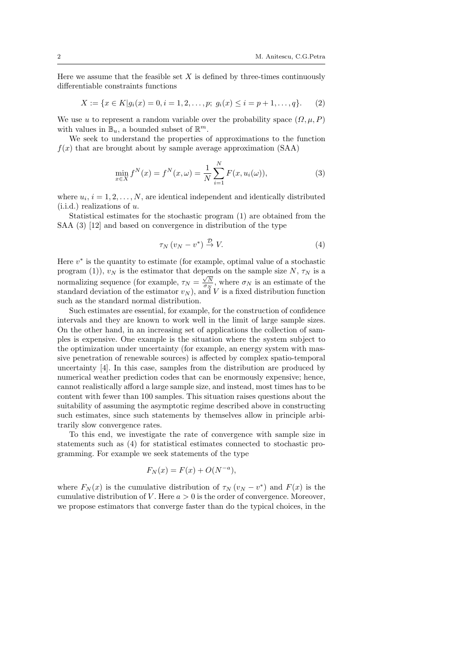Here we assume that the feasible set  $X$  is defined by three-times continuously differentiable constraints functions

$$
X := \{ x \in K | g_i(x) = 0, i = 1, 2, \dots, p; \ g_i(x) \le i = p + 1, \dots, q \}. \tag{2}
$$

We use u to represent a random variable over the probability space  $(\Omega, \mu, P)$ with values in  $\mathbb{B}_u$ , a bounded subset of  $\mathbb{R}^m$ .

We seek to understand the properties of approximations to the function  $f(x)$  that are brought about by sample average approximation (SAA)

$$
\min_{x \in X} f^N(x) = f^N(x, \omega) = \frac{1}{N} \sum_{i=1}^N F(x, u_i(\omega)),
$$
\n(3)

where  $u_i$ ,  $i = 1, 2, \ldots, N$ , are identical independent and identically distributed  $(i.i.d.)$  realizations of u.

Statistical estimates for the stochastic program (1) are obtained from the SAA (3) [12] and based on convergence in distribution of the type

$$
\tau_N \left( v_N - v^* \right) \stackrel{\mathcal{D}}{\rightarrow} V. \tag{4}
$$

Here  $v^*$  is the quantity to estimate (for example, optimal value of a stochastic program (1)),  $v_N$  is the estimator that depends on the sample size N,  $\tau_N$  is a program (1)),  $v_N$  is the estimated that depends on the sample size 1,  $v_N$  is a<br>normalizing sequence (for example,  $\tau_N = \frac{\sqrt{N}}{\sigma_N}$ , where  $\sigma_N$  is an estimate of the standard deviation of the estimator  $v_N$ ), and V is a fixed distribution function such as the standard normal distribution.

Such estimates are essential, for example, for the construction of confidence intervals and they are known to work well in the limit of large sample sizes. On the other hand, in an increasing set of applications the collection of samples is expensive. One example is the situation where the system subject to the optimization under uncertainty (for example, an energy system with massive penetration of renewable sources) is affected by complex spatio-temporal uncertainty [4]. In this case, samples from the distribution are produced by numerical weather prediction codes that can be enormously expensive; hence, cannot realistically afford a large sample size, and instead, most times has to be content with fewer than 100 samples. This situation raises questions about the suitability of assuming the asymptotic regime described above in constructing such estimates, since such statements by themselves allow in principle arbitrarily slow convergence rates.

To this end, we investigate the rate of convergence with sample size in statements such as (4) for statistical estimates connected to stochastic programming. For example we seek statements of the type

$$
F_N(x) = F(x) + O(N^{-a}),
$$

where  $F_N(x)$  is the cumulative distribution of  $\tau_N(v_N - v^*)$  and  $F(x)$  is the cumulative distribution of V. Here  $a > 0$  is the order of convergence. Moreover, we propose estimators that converge faster than do the typical choices, in the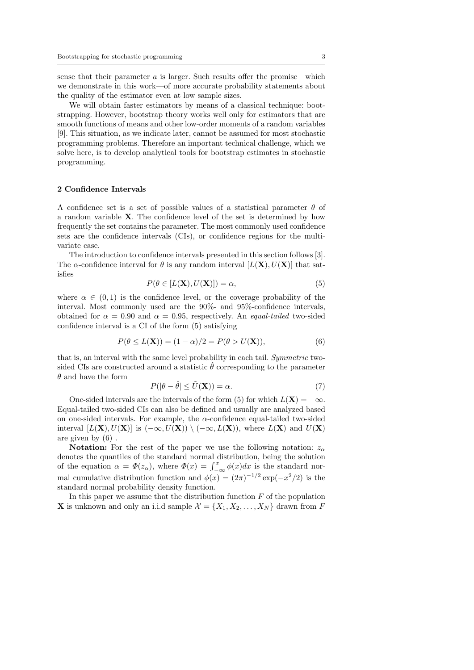sense that their parameter  $a$  is larger. Such results offer the promise—which we demonstrate in this work—of more accurate probability statements about the quality of the estimator even at low sample sizes.

We will obtain faster estimators by means of a classical technique: bootstrapping. However, bootstrap theory works well only for estimators that are smooth functions of means and other low-order moments of a random variables [9]. This situation, as we indicate later, cannot be assumed for most stochastic programming problems. Therefore an important technical challenge, which we solve here, is to develop analytical tools for bootstrap estimates in stochastic programming.

#### 2 Confidence Intervals

A confidence set is a set of possible values of a statistical parameter  $\theta$  of a random variable X. The confidence level of the set is determined by how frequently the set contains the parameter. The most commonly used confidence sets are the confidence intervals (CIs), or confidence regions for the multivariate case.

The introduction to confidence intervals presented in this section follows [3]. The  $\alpha$ -confidence interval for  $\theta$  is any random interval  $[L(\mathbf{X}), U(\mathbf{X})]$  that satisfies

$$
P(\theta \in [L(\mathbf{X}), U(\mathbf{X})]) = \alpha,\tag{5}
$$

where  $\alpha \in (0,1)$  is the confidence level, or the coverage probability of the interval. Most commonly used are the 90%- and 95%-confidence intervals, obtained for  $\alpha = 0.90$  and  $\alpha = 0.95$ , respectively. An *equal-tailed* two-sided confidence interval is a CI of the form (5) satisfying

$$
P(\theta \le L(\mathbf{X})) = (1 - \alpha)/2 = P(\theta > U(\mathbf{X})),\tag{6}
$$

that is, an interval with the same level probability in each tail. Symmetric twosided CIs are constructed around a statistic  $\theta$  corresponding to the parameter  $\theta$  and have the form

$$
P(|\theta - \hat{\theta}| \le \tilde{U}(\mathbf{X})) = \alpha.
$$
 (7)

One-sided intervals are the intervals of the form (5) for which  $L(\mathbf{X}) = -\infty$ . Equal-tailed two-sided CIs can also be defined and usually are analyzed based on one-sided intervals. For example, the  $\alpha$ -confidence equal-tailed two-sided interval  $[L(X), U(X)]$  is  $(-\infty, U(X)) \setminus (-\infty, L(X))$ , where  $L(X)$  and  $U(X)$ are given by (6) .

**Notation:** For the rest of the paper we use the following notation:  $z_{\alpha}$ denotes the quantiles of the standard normal distribution, being the solution of the equation  $\alpha = \Phi(z_\alpha)$ , where  $\Phi(x) = \int_{-\infty}^x \phi(x) dx$  is the standard normal cumulative distribution function and  $\phi(x) = (2\pi)^{-1/2} \exp(-x^2/2)$  is the standard normal probability density function.

In this paper we assume that the distribution function  $F$  of the population **X** is unknown and only an i.i.d sample  $\mathcal{X} = \{X_1, X_2, \ldots, X_N\}$  drawn from F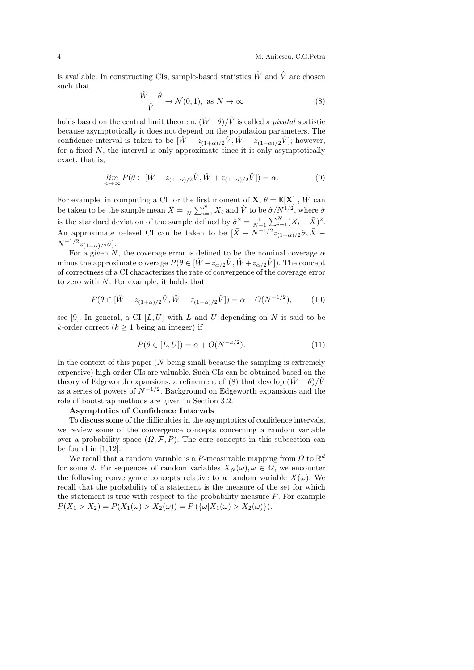is available. In constructing CIs, sample-based statistics  $\hat{W}$  and  $\hat{V}$  are chosen such that

$$
\frac{\hat{W} - \theta}{\hat{V}} \to \mathcal{N}(0, 1), \text{ as } N \to \infty
$$
\n(8)

holds based on the central limit theorem.  $(\hat{W} - \theta)/\hat{V}$  is called a *pivotal* statistic because asymptotically it does not depend on the population parameters. The confidence interval is taken to be  $[\hat{W} - z_{(1+\alpha)/2}\hat{V}, \hat{W} - z_{(1-\alpha)/2}\hat{V}]$ ; however, for a fixed  $N$ , the interval is only approximate since it is only asymptotically exact, that is,

$$
\lim_{n \to \infty} P(\theta \in [\hat{W} - z_{(1+\alpha)/2}\hat{V}, \hat{W} + z_{(1-\alpha)/2}\hat{V}]) = \alpha.
$$
\n(9)

For example, in computing a CI for the first moment of  $\mathbf{X}, \theta = \mathbb{E}[\mathbf{X}]$ ,  $\hat{W}$  can be taken to be the sample mean  $\bar{X} = \frac{1}{N} \sum_{i=1}^{N} X_i$  and  $\hat{V}$  to be  $\hat{\sigma}/N^{1/2}$ , where  $\hat{\sigma}$ is the standard deviation of the sample defined by  $\hat{\sigma}^2 = \frac{1}{N-1} \sum_{i=1}^N (X_i - \bar{X})^2$ . An approximate  $\alpha$ -level CI can be taken to be  $[\bar{X} - N^{-1/2}z_{(1+\alpha)/2}\hat{\sigma}, \bar{X} N^{-1/2}z_{(1-\alpha)/2}\hat{\sigma}$ .

For a given N, the coverage error is defined to be the nominal coverage  $\alpha$ minus the approximate coverage  $P(\theta \in [\hat{W} - z_{\alpha/2}\hat{V}, \hat{W} + z_{\alpha/2}\hat{V}])$ . The concept of correctness of a CI characterizes the rate of convergence of the coverage error to zero with N. For example, it holds that

$$
P(\theta \in [\hat{W} - z_{(1+\alpha)/2}\hat{V}, \hat{W} - z_{(1-\alpha)/2}\hat{V}]) = \alpha + O(N^{-1/2}), \quad (10)
$$

see [9]. In general, a CI  $[L, U]$  with L and U depending on N is said to be k-order correct  $(k \geq 1)$  being an integer) if

$$
P(\theta \in [L, U]) = \alpha + O(N^{-k/2}).\tag{11}
$$

In the context of this paper  $(N \text{ being small because the sampling is extremely})$ expensive) high-order CIs are valuable. Such CIs can be obtained based on the theory of Edgeworth expansions, a refinement of (8) that develop  $(\hat{W} - \theta)/\hat{V}$ as a series of powers of  $N^{-1/2}$ . Background on Edgeworth expansions and the role of bootstrap methods are given in Section 3.2.

#### Asymptotics of Confidence Intervals

To discuss some of the difficulties in the asymptotics of confidence intervals, we review some of the convergence concepts concerning a random variable over a probability space  $(\Omega, \mathcal{F}, P)$ . The core concepts in this subsection can be found in  $[1, 12]$ .

We recall that a random variable is a P-measurable mapping from  $\Omega$  to  $\mathbb{R}^d$ for some d. For sequences of random variables  $X_N(\omega), \omega \in \Omega$ , we encounter the following convergence concepts relative to a random variable  $X(\omega)$ . We recall that the probability of a statement is the measure of the set for which the statement is true with respect to the probability measure  $P$ . For example  $P(X_1 > X_2) = P(X_1(\omega) > X_2(\omega)) = P(\{\omega | X_1(\omega) > X_2(\omega)\}).$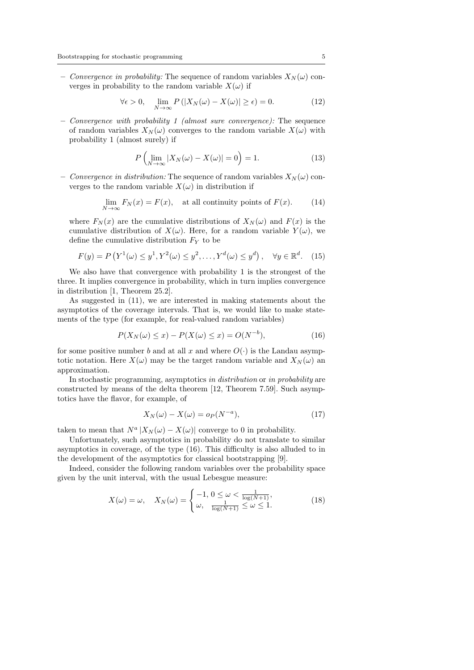– Convergence in probability: The sequence of random variables  $X_N(\omega)$  converges in probability to the random variable  $X(\omega)$  if

$$
\forall \epsilon > 0, \quad \lim_{N \to \infty} P\left(|X_N(\omega) - X(\omega)| \ge \epsilon\right) = 0. \tag{12}
$$

– Convergence with probability 1 (almost sure convergence): The sequence of random variables  $X_N(\omega)$  converges to the random variable  $X(\omega)$  with probability 1 (almost surely) if

$$
P\left(\lim_{N\to\infty}|X_N(\omega) - X(\omega)| = 0\right) = 1.
$$
\n(13)

– Convergence in distribution: The sequence of random variables  $X_N(\omega)$  converges to the random variable  $X(\omega)$  in distribution if

$$
\lim_{N \to \infty} F_N(x) = F(x), \quad \text{at all continuity points of } F(x). \tag{14}
$$

where  $F_N(x)$  are the cumulative distributions of  $X_N(\omega)$  and  $F(x)$  is the cumulative distribution of  $X(\omega)$ . Here, for a random variable  $Y(\omega)$ , we define the cumulative distribution  $F_Y$  to be

$$
F(y) = P\left(Y^1(\omega) \le y^1, Y^2(\omega) \le y^2, \dots, Y^d(\omega) \le y^d\right), \quad \forall y \in \mathbb{R}^d. \tag{15}
$$

We also have that convergence with probability 1 is the strongest of the three. It implies convergence in probability, which in turn implies convergence in distribution [1, Theorem 25.2].

As suggested in (11), we are interested in making statements about the asymptotics of the coverage intervals. That is, we would like to make statements of the type (for example, for real-valued random variables)

$$
P(X_N(\omega) \le x) - P(X(\omega) \le x) = O(N^{-b}),
$$
\n(16)

for some positive number b and at all x and where  $O(\cdot)$  is the Landau asymptotic notation. Here  $X(\omega)$  may be the target random variable and  $X_N(\omega)$  an approximation.

In stochastic programming, asymptotics in distribution or in probability are constructed by means of the delta theorem [12, Theorem 7.59]. Such asymptotics have the flavor, for example, of

$$
X_N(\omega) - X(\omega) = o_P(N^{-a}),\tag{17}
$$

taken to mean that  $N^a |X_N(\omega) - X(\omega)|$  converge to 0 in probability.

Unfortunately, such asymptotics in probability do not translate to similar asymptotics in coverage, of the type (16). This difficulty is also alluded to in the development of the asymptotics for classical bootstrapping [9].

Indeed, consider the following random variables over the probability space given by the unit interval, with the usual Lebesgue measure:

$$
X(\omega) = \omega, \quad X_N(\omega) = \begin{cases} -1, & 0 \le \omega < \frac{1}{\log(N+1)}, \\ \omega, & \frac{1}{\log(N+1)} \le \omega \le 1. \end{cases} \tag{18}
$$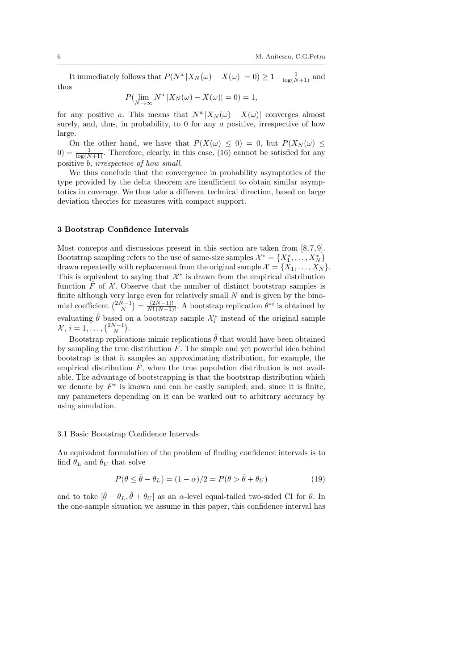It immediately follows that  $P(N^a | X_N(\omega) - X(\omega) | = 0) \geq 1 - \frac{1}{\log(N+1)}$  and thus

$$
P(\lim_{N \to \infty} N^a | X_N(\omega) - X(\omega) | = 0) = 1,
$$

for any positive a. This means that  $N^a |X_N(\omega) - X(\omega)|$  converges almost surely, and, thus, in probability, to 0 for any a positive, irrespective of how large.

On the other hand, we have that  $P(X(\omega) \leq 0) = 0$ , but  $P(X_N(\omega) \leq 0)$  $0) = \frac{1}{\log(N+1)}$ . Therefore, clearly, in this case, (16) cannot be satisfied for any positive b, irrespective of how small.

We thus conclude that the convergence in probability asymptotics of the type provided by the delta theorem are insufficient to obtain similar asymptotics in coverage. We thus take a different technical direction, based on large deviation theories for measures with compact support.

## 3 Bootstrap Confidence Intervals

Most concepts and discussions present in this section are taken from  $[8, 7, 9]$ . Bootstrap sampling refers to the use of same-size samples  $\mathcal{X}^* = \{X_1^*, \ldots, X_N^*\}$ drawn repeatedly with replacement from the original sample  $\mathcal{X} = \{X_1, \ldots, X_N\}$ This is equivalent to saying that  $\mathcal{X}^*$  is drawn from the empirical distribution function  $\hat{F}$  of  $\mathcal{X}$ . Observe that the number of distinct bootstrap samples is finite although very large even for relatively small  $N$  and is given by the binomial coefficient  $\binom{2N-1}{N} = \frac{(2N-1)!}{N!(N-1)!}$ . A bootstrap replication  $\theta^{*i}$  is obtained by evaluating  $\hat{\theta}$  based on a bootstrap sample  $\mathcal{X}_i^*$  instead of the original sample  $\mathcal{X}, i = 1, \ldots, \binom{2N-1}{N}.$ 

Bootstrap replications mimic replications  $\hat{\theta}$  that would have been obtained by sampling the true distribution  $F$ . The simple and yet powerful idea behind bootstrap is that it samples an approximating distribution, for example, the empirical distribution  $F$ , when the true population distribution is not available. The advantage of bootstrapping is that the bootstrap distribution which we denote by  $F^*$  is known and can be easily sampled; and, since it is finite, any parameters depending on it can be worked out to arbitrary accuracy by using simulation.

#### 3.1 Basic Bootstrap Confidence Intervals

An equivalent formulation of the problem of finding confidence intervals is to find  $\theta_L$  and  $\theta_U$  that solve

$$
P(\theta \le \hat{\theta} - \theta_L) = (1 - \alpha)/2 = P(\theta > \hat{\theta} + \theta_U)
$$
\n(19)

and to take  $[\hat{\theta} - \theta_L, \hat{\theta} + \theta_U]$  as an  $\alpha$ -level equal-tailed two-sided CI for  $\theta$ . In the one-sample situation we assume in this paper, this confidence interval has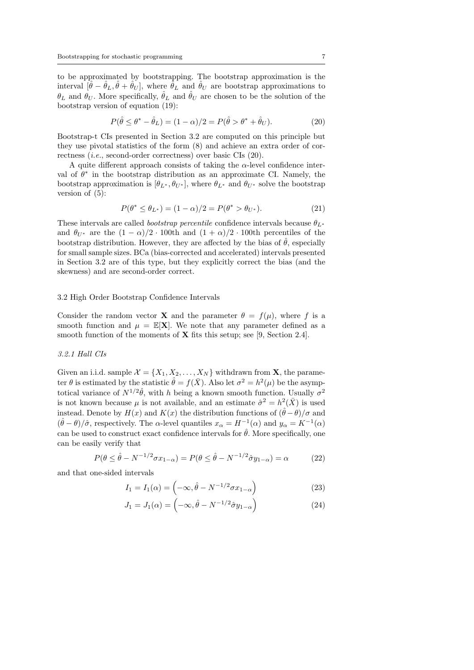to be approximated by bootstrapping. The bootstrap approximation is the interval  $[\hat{\theta} - \hat{\theta}_L, \hat{\theta} + \hat{\theta}_U]$ , where  $\hat{\theta}_L$  and  $\hat{\theta}_U$  are bootstrap approximations to  $\theta_L$  and  $\theta_U$ . More specifically,  $\hat{\theta}_L$  and  $\hat{\theta}_U$  are chosen to be the solution of the bootstrap version of equation (19):

$$
P(\hat{\theta} \le \theta^* - \hat{\theta}_L) = (1 - \alpha)/2 = P(\hat{\theta} > \theta^* + \hat{\theta}_U). \tag{20}
$$

Bootstrap-t CIs presented in Section 3.2 are computed on this principle but they use pivotal statistics of the form (8) and achieve an extra order of correctness (i.e., second-order correctness) over basic CIs (20).

A quite different approach consists of taking the  $\alpha$ -level confidence interval of  $\theta^*$  in the bootstrap distribution as an approximate CI. Namely, the bootstrap approximation is  $[\theta_{L^*}, \theta_{U^*}]$ , where  $\theta_{L^*}$  and  $\theta_{U^*}$  solve the bootstrap version of  $(5)$ :

$$
P(\theta^* \le \theta_{L^*}) = (1 - \alpha)/2 = P(\theta^* > \theta_{U^*}).
$$
\n(21)

These intervals are called *bootstrap percentile* confidence intervals because  $\theta_{L^*}$ and  $\theta_{U^*}$  are the  $(1 - \alpha)/2 \cdot 100$ th and  $(1 + \alpha)/2 \cdot 100$ th percentiles of the bootstrap distribution. However, they are affected by the bias of  $\hat{\theta}$ , especially for small sample sizes. BCa (bias-corrected and accelerated) intervals presented in Section 3.2 are of this type, but they explicitly correct the bias (and the skewness) and are second-order correct.

#### 3.2 High Order Bootstrap Confidence Intervals

Consider the random vector **X** and the parameter  $\theta = f(\mu)$ , where f is a smooth function and  $\mu = \mathbb{E}[\mathbf{X}]$ . We note that any parameter defined as a smooth function of the moments of  $X$  fits this setup; see [9, Section 2.4].

## 3.2.1 Hall CIs

Given an i.i.d. sample  $\mathcal{X} = \{X_1, X_2, \ldots, X_N\}$  withdrawn from **X**, the parameter  $\theta$  is estimated by the statistic  $\hat{\theta} = f(\bar{X})$ . Also let  $\sigma^2 = h^2(\mu)$  be the asymptotical variance of  $N^{1/2}\hat{\theta}$ , with h being a known smooth function. Usually  $\sigma^2$ is not known because  $\mu$  is not available, and an estimate  $\hat{\sigma}^2 = h^2(\bar{X})$  is used instead. Denote by  $H(x)$  and  $K(x)$  the distribution functions of  $(\hat{\theta} - \theta)/\sigma$  and  $(\hat{\theta} - \theta)/\hat{\sigma}$ , respectively. The  $\alpha$ -level quantiles  $x_{\alpha} = H^{-1}(\alpha)$  and  $y_{\alpha} = K^{-1}(\alpha)$ can be used to construct exact confidence intervals for  $\hat{\theta}$ . More specifically, one can be easily verify that

$$
P(\theta \le \hat{\theta} - N^{-1/2} \sigma x_{1-\alpha}) = P(\theta \le \hat{\theta} - N^{-1/2} \hat{\sigma} y_{1-\alpha}) = \alpha \tag{22}
$$

and that one-sided intervals

$$
I_1 = I_1(\alpha) = \left(-\infty, \hat{\theta} - N^{-1/2} \sigma x_{1-\alpha}\right) \tag{23}
$$

$$
J_1 = J_1(\alpha) = \left(-\infty, \hat{\theta} - N^{-1/2}\hat{\sigma}y_{1-\alpha}\right) \tag{24}
$$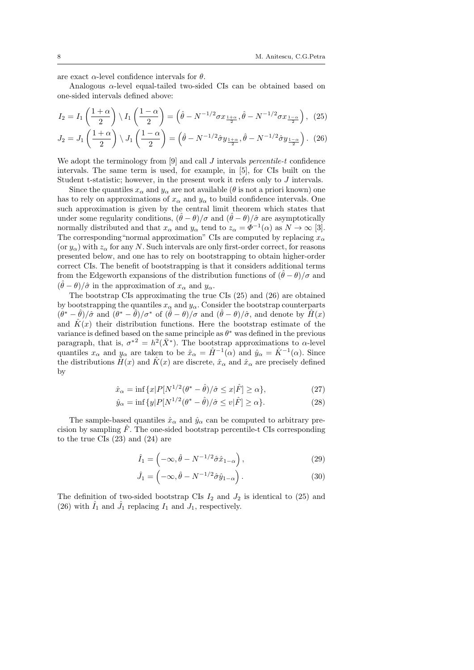are exact  $\alpha$ -level confidence intervals for  $\theta$ .

Analogous  $\alpha$ -level equal-tailed two-sided CIs can be obtained based on one-sided intervals defined above:

$$
I_2 = I_1\left(\frac{1+\alpha}{2}\right) \setminus I_1\left(\frac{1-\alpha}{2}\right) = \left(\hat{\theta} - N^{-1/2}\sigma x_{\frac{1+\alpha}{2}}, \hat{\theta} - N^{-1/2}\sigma x_{\frac{1-\alpha}{2}}\right), (25)
$$

$$
J_2 = J_1\left(\frac{1+\alpha}{2}\right) \setminus J_1\left(\frac{1-\alpha}{2}\right) = \left(\hat{\theta} - N^{-1/2}\hat{\sigma}y_{\frac{1+\alpha}{2}}, \hat{\theta} - N^{-1/2}\hat{\sigma}y_{\frac{1-\alpha}{2}}\right). (26)
$$

We adopt the terminology from  $[9]$  and call J intervals *percentile-t* confidence intervals. The same term is used, for example, in [5], for CIs built on the Student t-statistic; however, in the present work it refers only to J intervals.

Since the quantiles  $x_{\alpha}$  and  $y_{\alpha}$  are not available ( $\theta$  is not a priori known) one has to rely on approximations of  $x_{\alpha}$  and  $y_{\alpha}$  to build confidence intervals. One such approximation is given by the central limit theorem which states that under some regularity conditions,  $(\hat{\theta} - \theta)/\sigma$  and  $(\hat{\theta} - \theta)/\hat{\sigma}$  are asymptotically normally distributed and that  $x_{\alpha}$  and  $y_{\alpha}$  tend to  $z_{\alpha} = \Phi^{-1}(\alpha)$  as  $N \to \infty$  [3]. The corresponding "normal approximation" CIs are computed by replacing  $x_{\alpha}$ (or  $y_{\alpha}$ ) with  $z_{\alpha}$  for any N. Such intervals are only first-order correct, for reasons presented below, and one has to rely on bootstrapping to obtain higher-order correct CIs. The benefit of bootstrapping is that it considers additional terms from the Edgeworth expansions of the distribution functions of  $(\hat{\theta} - \theta)/\sigma$  and  $(\hat{\theta} - \theta)/\hat{\sigma}$  in the approximation of  $x_{\alpha}$  and  $y_{\alpha}$ .

The bootstrap CIs approximating the true CIs (25) and (26) are obtained by bootstrapping the quantiles  $x_{\alpha}$  and  $y_{\alpha}$ . Consider the bootstrap counterparts  $(\hat{\theta}^* - \hat{\theta})/\hat{\sigma}$  and  $(\hat{\theta}^* - \hat{\theta})/\sigma^*$  of  $(\hat{\theta} - \theta)/\sigma$  and  $(\hat{\theta} - \theta)/\hat{\sigma}$ , and denote by  $\hat{H}(x)$ and  $\hat{K}(x)$  their distribution functions. Here the bootstrap estimate of the variance is defined based on the same principle as  $\theta^*$  was defined in the previous paragraph, that is,  $\sigma^{*2} = h^2(\bar{X}^*)$ . The bootstrap approximations to  $\alpha$ -level quantiles  $x_{\alpha}$  and  $y_{\alpha}$  are taken to be  $\hat{x}_{\alpha} = \hat{H}^{-1}(\alpha)$  and  $\hat{y}_{\alpha} = \hat{K}^{-1}(\alpha)$ . Since the distributions  $\hat{H}(x)$  and  $\hat{K}(x)$  are discrete,  $\hat{x}_{\alpha}$  and  $\hat{x}_{\alpha}$  are precisely defined by

$$
\hat{x}_{\alpha} = \inf \{ x | P[N^{1/2}(\theta^* - \hat{\theta})/\hat{\sigma} \le x | \hat{F} ] \ge \alpha \},\tag{27}
$$

$$
\hat{y}_{\alpha} = \inf \{ y | P[N^{1/2}(\theta^* - \hat{\theta})/\hat{\sigma} \le v | \hat{F} ] \ge \alpha \}. \tag{28}
$$

The sample-based quantiles  $\hat{x}_{\alpha}$  and  $\hat{y}_{\alpha}$  can be computed to arbitrary precision by sampling  $\tilde{F}$ . The one-sided bootstrap percentile-t CIs corresponding to the true CIs (23) and (24) are

$$
\hat{I}_1 = \left( -\infty, \hat{\theta} - N^{-1/2} \hat{\sigma} \hat{x}_{1-\alpha} \right),\tag{29}
$$

$$
\hat{J}_1 = \left( -\infty, \hat{\theta} - N^{-1/2} \hat{\sigma} \hat{y}_{1-\alpha} \right). \tag{30}
$$

The definition of two-sided bootstrap CIs  $I_2$  and  $J_2$  is identical to (25) and (26) with  $\hat{I}_1$  and  $\hat{J}_1$  replacing  $I_1$  and  $J_1$ , respectively.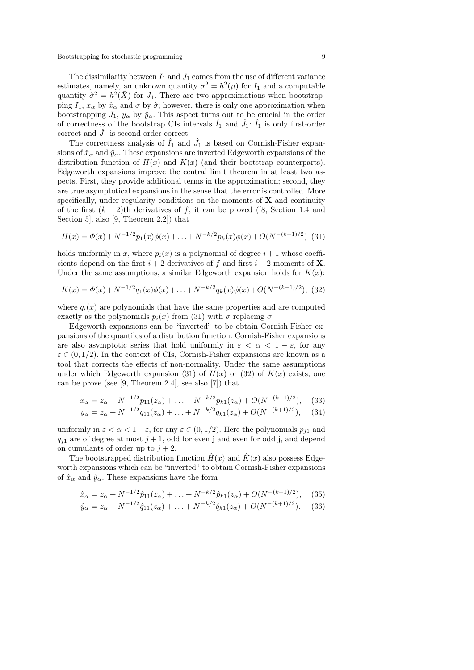The dissimilarity between  $I_1$  and  $J_1$  comes from the use of different variance estimates, namely, an unknown quantity  $\sigma^2 = h^2(\mu)$  for  $I_1$  and a computable quantity  $\hat{\sigma}^2 = h^2(\bar{X})$  for  $J_1$ . There are two approximations when bootstrapping  $I_1$ ,  $x_\alpha$  by  $\hat{x}_\alpha$  and  $\sigma$  by  $\hat{\sigma}$ ; however, there is only one approximation when bootstrapping  $J_1$ ,  $y_\alpha$  by  $\hat{y}_\alpha$ . This aspect turns out to be crucial in the order of correctness of the bootstrap CIs intervals  $\hat{I}_1$  and  $\hat{J}_1$ :  $\hat{I}_1$  is only first-order correct and  $\hat{J}_1$  is second-order correct.

The correctness analysis of  $\hat{I}_1$  and  $\hat{J}_1$  is based on Cornish-Fisher expansions of  $\hat{x}_{\alpha}$  and  $\hat{y}_{\alpha}$ . These expansions are inverted Edgeworth expansions of the distribution function of  $H(x)$  and  $K(x)$  (and their bootstrap counterparts). Edgeworth expansions improve the central limit theorem in at least two aspects. First, they provide additional terms in the approximation; second, they are true asymptotical expansions in the sense that the error is controlled. More specifically, under regularity conditions on the moments of  $X$  and continuity of the first  $(k + 2)$ th derivatives of f, it can be proved ([8, Section 1.4 and Section 5], also [9, Theorem 2.2]) that

$$
H(x) = \Phi(x) + N^{-1/2} p_1(x)\phi(x) + \ldots + N^{-k/2} p_k(x)\phi(x) + O(N^{-(k+1)/2})
$$
 (31)

holds uniformly in x, where  $p_i(x)$  is a polynomial of degree  $i+1$  whose coefficients depend on the first  $i + 2$  derivatives of f and first  $i + 2$  moments of **X**. Under the same assumptions, a similar Edgeworth expansion holds for  $K(x)$ :

$$
K(x) = \Phi(x) + N^{-1/2} q_1(x)\phi(x) + \ldots + N^{-k/2} q_k(x)\phi(x) + O(N^{-(k+1)/2}),
$$
 (32)

where  $q_i(x)$  are polynomials that have the same properties and are computed exactly as the polynomials  $p_i(x)$  from (31) with  $\hat{\sigma}$  replacing  $\sigma$ .

Edgeworth expansions can be "inverted" to be obtain Cornish-Fisher expansions of the quantiles of a distribution function. Cornish-Fisher expansions are also asymptotic series that hold uniformly in  $\varepsilon < \alpha < 1 - \varepsilon$ , for any  $\varepsilon \in (0, 1/2)$ . In the context of CIs, Cornish-Fisher expansions are known as a tool that corrects the effects of non-normality. Under the same assumptions under which Edgeworth expansion (31) of  $H(x)$  or (32) of  $K(x)$  exists, one can be prove (see [9, Theorem 2.4], see also [7]) that

$$
x_{\alpha} = z_{\alpha} + N^{-1/2} p_{11}(z_{\alpha}) + \ldots + N^{-k/2} p_{k1}(z_{\alpha}) + O(N^{-(k+1)/2}), \quad (33)
$$

$$
y_{\alpha} = z_{\alpha} + N^{-1/2} q_{11}(z_{\alpha}) + \ldots + N^{-k/2} q_{k1}(z_{\alpha}) + O(N^{-(k+1)/2}), \quad (34)
$$

uniformly in  $\varepsilon < \alpha < 1 - \varepsilon$ , for any  $\varepsilon \in (0, 1/2)$ . Here the polynomials  $p_{j1}$  and  $q_{i1}$  are of degree at most  $j + 1$ , odd for even j and even for odd j, and depend on cumulants of order up to  $j + 2$ .

The bootstrapped distribution function  $\hat{H}(x)$  and  $\hat{K}(x)$  also possess Edgeworth expansions which can be "inverted" to obtain Cornish-Fisher expansions of  $\hat{x}_{\alpha}$  and  $\hat{y}_{\alpha}$ . These expansions have the form

$$
\hat{x}_{\alpha} = z_{\alpha} + N^{-1/2} \hat{p}_{11}(z_{\alpha}) + \ldots + N^{-k/2} \hat{p}_{k1}(z_{\alpha}) + O(N^{-(k+1)/2}), \quad (35)
$$

$$
\hat{y}_{\alpha} = z_{\alpha} + N^{-1/2} \hat{q}_{11}(z_{\alpha}) + \ldots + N^{-k/2} \hat{q}_{k1}(z_{\alpha}) + O(N^{-(k+1)/2}). \tag{36}
$$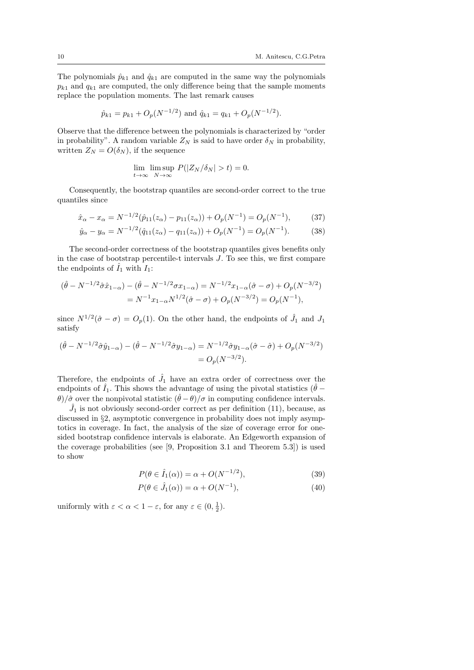The polynomials  $\hat{p}_{k1}$  and  $\hat{q}_{k1}$  are computed in the same way the polynomials  $p_{k1}$  and  $q_{k1}$  are computed, the only difference being that the sample moments replace the population moments. The last remark causes

$$
\hat{p}_{k1} = p_{k1} + O_p(N^{-1/2})
$$
 and  $\hat{q}_{k1} = q_{k1} + O_p(N^{-1/2}).$ 

Observe that the difference between the polynomials is characterized by "order in probability". A random variable  $Z_N$  is said to have order  $\delta_N$  in probability, written  $Z_N = O(\delta_N)$ , if the sequence

$$
\lim_{t \to \infty} \limsup_{N \to \infty} P(|Z_N/\delta_N| > t) = 0.
$$

Consequently, the bootstrap quantiles are second-order correct to the true quantiles since

$$
\hat{x}_{\alpha} - x_{\alpha} = N^{-1/2}(\hat{p}_{11}(z_{\alpha}) - p_{11}(z_{\alpha})) + O_p(N^{-1}) = O_p(N^{-1}),\tag{37}
$$

$$
\hat{y}_{\alpha} - y_{\alpha} = N^{-1/2}(\hat{q}_{11}(z_{\alpha}) - q_{11}(z_{\alpha})) + O_p(N^{-1}) = O_p(N^{-1}).
$$
\n(38)

The second-order correctness of the bootstrap quantiles gives benefits only in the case of bootstrap percentile-t intervals J. To see this, we first compare the endpoints of  $\hat{I}_1$  with  $I_1$ :

$$
(\hat{\theta} - N^{-1/2}\hat{\sigma}\hat{x}_{1-\alpha}) - (\hat{\theta} - N^{-1/2}\sigma x_{1-\alpha}) = N^{-1/2}x_{1-\alpha}(\hat{\sigma} - \sigma) + O_p(N^{-3/2})
$$
  
=  $N^{-1}x_{1-\alpha}N^{1/2}(\hat{\sigma} - \sigma) + O_p(N^{-3/2}) = O_p(N^{-1}),$ 

since  $N^{1/2}(\hat{\sigma}-\sigma)=O_p(1)$ . On the other hand, the endpoints of  $\hat{J}_1$  and  $J_1$ satisfy

$$
(\hat{\theta} - N^{-1/2}\hat{\sigma}\hat{y}_{1-\alpha}) - (\hat{\theta} - N^{-1/2}\hat{\sigma}y_{1-\alpha}) = N^{-1/2}\hat{\sigma}y_{1-\alpha}(\hat{\sigma} - \hat{\sigma}) + O_p(N^{-3/2})
$$
  
=  $O_p(N^{-3/2}).$ 

Therefore, the endpoints of  $\hat{J}_1$  have an extra order of correctness over the endpoints of  $\hat{I}_1$ . This shows the advantage of using the pivotal statistics ( $\hat{\theta}$  − θ)/ $σ̄$  over the nonpivotal statistic  $(θ - θ)/σ$  in computing confidence intervals.

 $\hat{J}_1$  is not obviously second-order correct as per definition (11), because, as discussed in §2, asymptotic convergence in probability does not imply asymptotics in coverage. In fact, the analysis of the size of coverage error for onesided bootstrap confidence intervals is elaborate. An Edgeworth expansion of the coverage probabilities (see [9, Proposition 3.1 and Theorem 5.3]) is used to show

$$
P(\theta \in \hat{I}_1(\alpha)) = \alpha + O(N^{-1/2}),\tag{39}
$$

$$
P(\theta \in \hat{J}_1(\alpha)) = \alpha + O(N^{-1}),\tag{40}
$$

uniformly with  $\varepsilon < \alpha < 1 - \varepsilon$ , for any  $\varepsilon \in (0, \frac{1}{2})$ .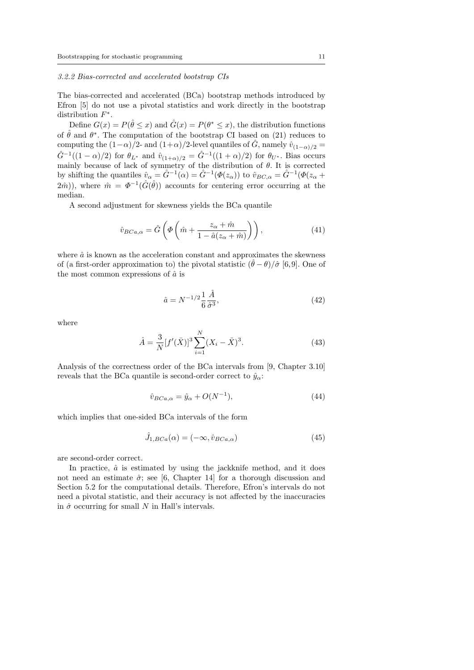# 3.2.2 Bias-corrected and accelerated bootstrap CIs

The bias-corrected and accelerated (BCa) bootstrap methods introduced by Efron [5] do not use a pivotal statistics and work directly in the bootstrap distribution  $F^*$ .

Define  $G(x) = P(\hat{\theta} \leq x)$  and  $\hat{G}(x) = P(\theta^* \leq x)$ , the distribution functions of  $\hat{\theta}$  and  $\theta^*$ . The computation of the bootstrap CI based on (21) reduces to computing the  $(1-\alpha)/2$ - and  $(1+\alpha)/2$ -level quantiles of  $\hat{G}$ , namely  $\hat{v}_{(1-\alpha)/2}$  =  $\hat{G}^{-1}((1-\alpha)/2)$  for  $\theta_{L^*}$  and  $\hat{v}_{(1+\alpha)/2} = \hat{G}^{-1}((1+\alpha)/2)$  for  $\theta_{U^*}$ . Bias occurs mainly because of lack of symmetry of the distribution of  $\theta$ . It is corrected by shifting the quantiles  $\hat{v}_{\alpha} = \hat{G}^{-1}(\alpha) = \hat{G}^{-1}(\Phi(z_{\alpha}))$  to  $\hat{v}_{BC,\alpha} = \hat{G}^{-1}(\Phi(z_{\alpha} + \alpha))$  $(2\hat{m})$ , where  $\hat{m} = \Phi^{-1}(\hat{G}(\hat{\theta}))$  accounts for centering error occurring at the median.

A second adjustment for skewness yields the BCa quantile

$$
\hat{v}_{BCa,\alpha} = \hat{G}\left(\Phi\left(\hat{m} + \frac{z_{\alpha} + \hat{m}}{1 - \hat{a}(z_{\alpha} + \hat{m})}\right)\right),\tag{41}
$$

where  $\hat{a}$  is known as the acceleration constant and approximates the skewness of (a first-order approximation to) the pivotal statistic  $(\ddot{\theta} - \theta)/\hat{\sigma}$  [6,9]. One of the most common expressions of  $\hat{a}$  is

$$
\hat{a} = N^{-1/2} \frac{1}{6} \frac{\hat{A}}{\hat{\sigma}^3},\tag{42}
$$

where

$$
\hat{A} = \frac{3}{N} [f'(\bar{X})]^3 \sum_{i=1}^{N} (X_i - \bar{X})^3.
$$
 (43)

Analysis of the correctness order of the BCa intervals from [9, Chapter 3.10] reveals that the BCa quantile is second-order correct to  $\hat{y}_{\alpha}$ .

$$
\hat{v}_{BCa,\alpha} = \hat{y}_{\alpha} + O(N^{-1}),\tag{44}
$$

which implies that one-sided BCa intervals of the form

$$
\hat{J}_{1,BCa}(\alpha) = (-\infty, \hat{v}_{BCa,\alpha})
$$
\n(45)

are second-order correct.

In practice,  $\hat{a}$  is estimated by using the jackknife method, and it does not need an estimate  $\hat{\sigma}$ ; see [6, Chapter 14] for a thorough discussion and Section 5.2 for the computational details. Therefore, Efron's intervals do not need a pivotal statistic, and their accuracy is not affected by the inaccuracies in  $\hat{\sigma}$  occurring for small N in Hall's intervals.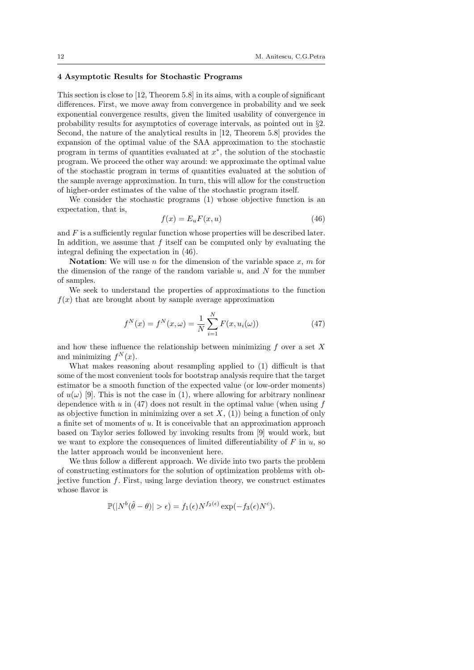# 4 Asymptotic Results for Stochastic Programs

This section is close to [12, Theorem 5.8] in its aims, with a couple of significant differences. First, we move away from convergence in probability and we seek exponential convergence results, given the limited usability of convergence in probability results for asymptotics of coverage intervals, as pointed out in §2. Second, the nature of the analytical results in [12, Theorem 5.8] provides the expansion of the optimal value of the SAA approximation to the stochastic program in terms of quantities evaluated at  $x^*$ , the solution of the stochastic program. We proceed the other way around: we approximate the optimal value of the stochastic program in terms of quantities evaluated at the solution of the sample average approximation. In turn, this will allow for the construction of higher-order estimates of the value of the stochastic program itself.

We consider the stochastic programs  $(1)$  whose objective function is an expectation, that is,

$$
f(x) = E_u F(x, u)
$$
\n(46)

and  $F$  is a sufficiently regular function whose properties will be described later. In addition, we assume that  $f$  itself can be computed only by evaluating the integral defining the expectation in (46).

**Notation:** We will use n for the dimension of the variable space  $x, m$  for the dimension of the range of the random variable  $u$ , and  $N$  for the number of samples.

We seek to understand the properties of approximations to the function  $f(x)$  that are brought about by sample average approximation

$$
f^{N}(x) = f^{N}(x, \omega) = \frac{1}{N} \sum_{i=1}^{N} F(x, u_{i}(\omega))
$$
\n(47)

and how these influence the relationship between minimizing  $f$  over a set  $X$ and minimizing  $f^N(x)$ .

What makes reasoning about resampling applied to (1) difficult is that some of the most convenient tools for bootstrap analysis require that the target estimator be a smooth function of the expected value (or low-order moments) of  $u(\omega)$  [9]. This is not the case in (1), where allowing for arbitrary nonlinear dependence with  $u$  in (47) does not result in the optimal value (when using  $f$ as objective function in minimizing over a set  $X$ , (1)) being a function of only a finite set of moments of u. It is conceivable that an approximation approach based on Taylor series followed by invoking results from [9] would work, but we want to explore the consequences of limited differentiability of  $F$  in  $u$ , so the latter approach would be inconvenient here.

We thus follow a different approach. We divide into two parts the problem of constructing estimators for the solution of optimization problems with objective function  $f$ . First, using large deviation theory, we construct estimates whose flavor is

$$
\mathbb{P}(|N^{b}(\hat{\theta}-\theta)|>\epsilon) = f_1(\epsilon)N^{f_2(\epsilon)}\exp(-f_3(\epsilon)N^c).
$$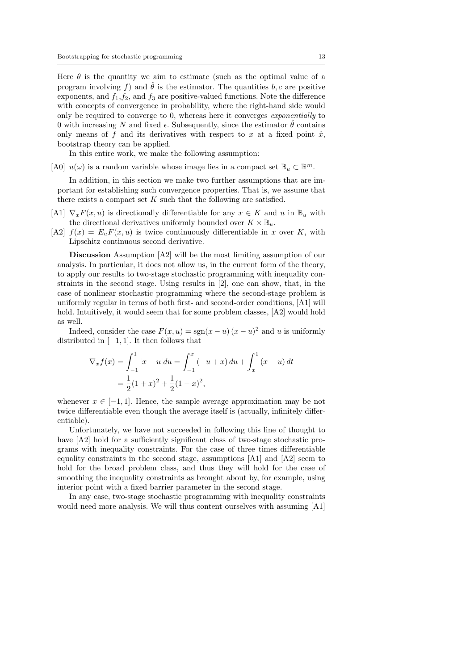Here  $\theta$  is the quantity we aim to estimate (such as the optimal value of a program involving f) and  $\hat{\theta}$  is the estimator. The quantities b, c are positive exponents, and  $f_1, f_2$ , and  $f_3$  are positive-valued functions. Note the difference with concepts of convergence in probability, where the right-hand side would only be required to converge to 0, whereas here it converges exponentially to 0 with increasing N and fixed  $\epsilon$ . Subsequently, since the estimator  $\hat{\theta}$  contains only means of f and its derivatives with respect to x at a fixed point  $\hat{x}$ , bootstrap theory can be applied.

In this entire work, we make the following assumption:

[A0]  $u(\omega)$  is a random variable whose image lies in a compact set  $\mathbb{B}_u \subset \mathbb{R}^m$ .

In addition, in this section we make two further assumptions that are important for establishing such convergence properties. That is, we assume that there exists a compact set  $K$  such that the following are satisfied.

- [A1]  $\nabla_x F(x, u)$  is directionally differentiable for any  $x \in K$  and u in  $\mathbb{B}_u$  with the directional derivatives uniformly bounded over  $K \times \mathbb{B}_u$ .
- [A2]  $f(x) = E_u F(x, u)$  is twice continuously differentiable in x over K, with Lipschitz continuous second derivative.

Discussion Assumption [A2] will be the most limiting assumption of our analysis. In particular, it does not allow us, in the current form of the theory, to apply our results to two-stage stochastic programming with inequality constraints in the second stage. Using results in [2], one can show, that, in the case of nonlinear stochastic programming where the second-stage problem is uniformly regular in terms of both first- and second-order conditions, [A1] will hold. Intuitively, it would seem that for some problem classes, [A2] would hold as well.

Indeed, consider the case  $F(x, u) = \text{sgn}(x - u)(x - u)^2$  and u is uniformly distributed in  $[-1, 1]$ . It then follows that

$$
\nabla_x f(x) = \int_{-1}^1 |x - u| du = \int_{-1}^x (-u + x) du + \int_x^1 (x - u) dt
$$
  
=  $\frac{1}{2} (1 + x)^2 + \frac{1}{2} (1 - x)^2$ ,

whenever  $x \in [-1, 1]$ . Hence, the sample average approximation may be not twice differentiable even though the average itself is (actually, infinitely differentiable).

Unfortunately, we have not succeeded in following this line of thought to have  $[A2]$  hold for a sufficiently significant class of two-stage stochastic programs with inequality constraints. For the case of three times differentiable equality constraints in the second stage, assumptions [A1] and [A2] seem to hold for the broad problem class, and thus they will hold for the case of smoothing the inequality constraints as brought about by, for example, using interior point with a fixed barrier parameter in the second stage.

In any case, two-stage stochastic programming with inequality constraints would need more analysis. We will thus content ourselves with assuming [A1]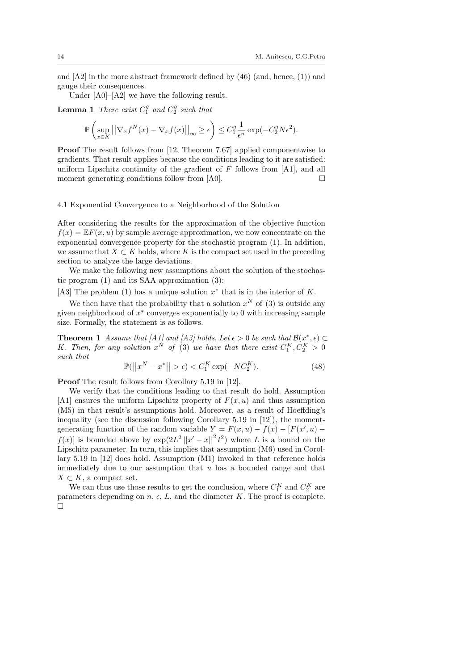and  $[A2]$  in the more abstract framework defined by  $(46)$  (and, hence,  $(1)$ ) and gauge their consequences.

Under  $[A0]$ – $[A2]$  we have the following result.

**Lemma 1** There exist  $C_1^g$  and  $C_2^g$  such that

$$
\mathbb{P}\left(\sup_{x\in K} \left|\left|\nabla_x f^N(x) - \nabla_x f(x)\right|\right|_{\infty} \ge \epsilon\right) \le C_1^g \frac{1}{\epsilon^n} \exp(-C_2^g N \epsilon^2).
$$

Proof The result follows from [12, Theorem 7.67] applied componentwise to gradients. That result applies because the conditions leading to it are satisfied: uniform Lipschitz continuity of the gradient of  $F$  follows from [A1], and all moment generating conditions follow from [A0].  $\Box$ 

## 4.1 Exponential Convergence to a Neighborhood of the Solution

After considering the results for the approximation of the objective function  $f(x) = EF(x, u)$  by sample average approximation, we now concentrate on the exponential convergence property for the stochastic program (1). In addition, we assume that  $X \subset K$  holds, where K is the compact set used in the preceding section to analyze the large deviations.

We make the following new assumptions about the solution of the stochastic program (1) and its SAA approximation (3):

[A3] The problem (1) has a unique solution  $x^*$  that is in the interior of K.

We then have that the probability that a solution  $x^N$  of (3) is outside any given neighborhood of  $x^*$  converges exponentially to 0 with increasing sample size. Formally, the statement is as follows.

**Theorem 1** Assume that [A1] and [A3] holds. Let  $\epsilon > 0$  be such that  $\mathcal{B}(x^*, \epsilon) \subset$ K. Then, for any solution  $x^N$  of (3) we have that there exist  $C_1^K, C_2^K > 0$ such that

$$
\mathbb{P}(|x^N - x^*|| > \epsilon) < C_1^K \exp(-NC_2^K). \tag{48}
$$

Proof The result follows from Corollary 5.19 in [12].

We verify that the conditions leading to that result do hold. Assumption [A1] ensures the uniform Lipschitz property of  $F(x, u)$  and thus assumption (M5) in that result's assumptions hold. Moreover, as a result of Hoeffding's inequality (see the discussion following Corollary 5.19 in [12]), the momentgenerating function of the random variable  $Y = F(x, u) - f(x) - [F(x', u)$  $f(x)$  is bounded above by  $\exp(2L^2||x'-x||^2 t^2)$  where L is a bound on the Lipschitz parameter. In turn, this implies that assumption (M6) used in Corollary 5.19 in [12] does hold. Assumption (M1) invoked in that reference holds immediately due to our assumption that  $u$  has a bounded range and that  $X \subset K$ , a compact set.

We can thus use those results to get the conclusion, where  $C_1^K$  and  $C_2^K$  are parameters depending on  $n, \epsilon, L$ , and the diameter K. The proof is complete.  $\Box$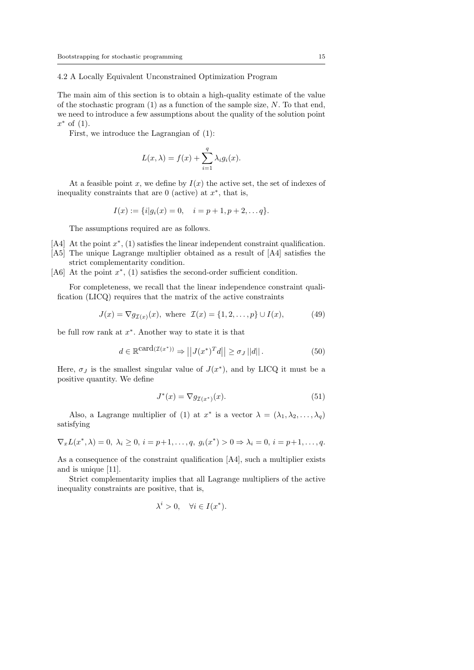4.2 A Locally Equivalent Unconstrained Optimization Program

The main aim of this section is to obtain a high-quality estimate of the value of the stochastic program  $(1)$  as a function of the sample size, N. To that end, we need to introduce a few assumptions about the quality of the solution point  $x^*$  of  $(1)$ .

First, we introduce the Lagrangian of (1):

$$
L(x,\lambda) = f(x) + \sum_{i=1}^{q} \lambda_i g_i(x).
$$

At a feasible point x, we define by  $I(x)$  the active set, the set of indexes of inequality constraints that are  $0$  (active) at  $x^*$ , that is,

$$
I(x) := \{i|g_i(x) = 0, \quad i = p+1, p+2, \dots q\}.
$$

The assumptions required are as follows.

- [A4] At the point  $x^*$ , (1) satisfies the linear independent constraint qualification.
- [A5] The unique Lagrange multiplier obtained as a result of [A4] satisfies the strict complementarity condition.
- [A6] At the point  $x^*$ , (1) satisfies the second-order sufficient condition.

For completeness, we recall that the linear independence constraint qualification (LICQ) requires that the matrix of the active constraints

$$
J(x) = \nabla g_{\mathcal{I}(x)}(x), \text{ where } \mathcal{I}(x) = \{1, 2, ..., p\} \cup I(x), \tag{49}
$$

be full row rank at  $x^*$ . Another way to state it is that

$$
d \in \mathbb{R}^{\mathbf{card}(\mathcal{I}(x^*))} \Rightarrow ||J(x^*)^T d|| \ge \sigma_J ||d||. \tag{50}
$$

Here,  $\sigma_J$  is the smallest singular value of  $J(x^*)$ , and by LICQ it must be a positive quantity. We define

$$
J^*(x) = \nabla g_{\mathcal{I}(x^*)}(x). \tag{51}
$$

Also, a Lagrange multiplier of (1) at  $x^*$  is a vector  $\lambda = (\lambda_1, \lambda_2, \ldots, \lambda_q)$ satisfying

$$
\nabla_x L(x^*, \lambda) = 0, \ \lambda_i \ge 0, \ i = p+1, \dots, q, \ g_i(x^*) > 0 \Rightarrow \lambda_i = 0, \ i = p+1, \dots, q.
$$

As a consequence of the constraint qualification [A4], such a multiplier exists and is unique [11].

Strict complementarity implies that all Lagrange multipliers of the active inequality constraints are positive, that is,

$$
\lambda^i > 0, \quad \forall i \in I(x^*).
$$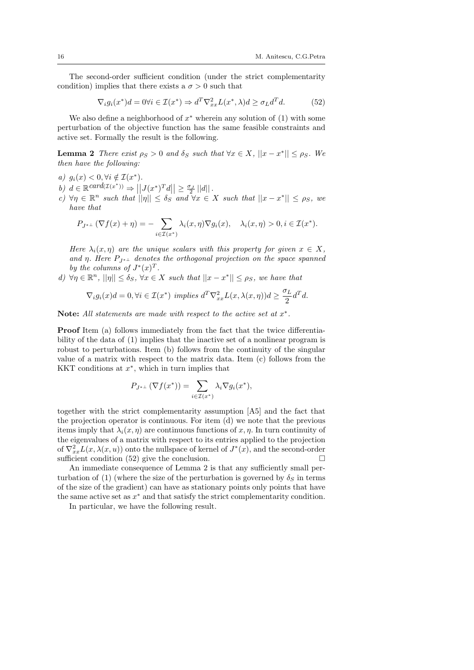The second-order sufficient condition (under the strict complementarity condition) implies that there exists a  $\sigma > 0$  such that

$$
\nabla_i g_i(x^*)d = 0 \forall i \in \mathcal{I}(x^*) \Rightarrow d^T \nabla_{xx}^2 L(x^*, \lambda) d \ge \sigma_L d^T d. \tag{52}
$$

We also define a neighborhood of  $x^*$  wherein any solution of  $(1)$  with some perturbation of the objective function has the same feasible constraints and active set. Formally the result is the following.

**Lemma 2** There exist  $\rho_S > 0$  and  $\delta_S$  such that  $\forall x \in X, ||x - x^*|| \leq \rho_S$ . We then have the following:

- a)  $g_i(x) < 0, \forall i \notin \mathcal{I}(x^*).$
- b)  $d \in \mathbb{R}^{card(\mathcal{I}(x^*))} \Rightarrow ||J(x^*)^T d|| \geq \frac{\sigma_J}{2} ||d||$ .
- c)  $\forall \eta \in \mathbb{R}^n$  such that  $||\eta|| \leq \delta_S$  and  $\forall x \in X$  such that  $||x x^*|| \leq \rho_S$ , we have that

$$
P_{J^{*+}}(\nabla f(x)+\eta)=-\sum_{i\in\mathcal{I}(x^*)}\lambda_i(x,\eta)\nabla g_i(x),\quad \lambda_i(x,\eta)>0, i\in\mathcal{I}(x^*).
$$

Here  $\lambda_i(x, \eta)$  are the unique scalars with this property for given  $x \in X$ , and η. Here  $P_{I^*}$  denotes the orthogonal projection on the space spanned by the columns of  $J^*(x)^T$ .

d)  $\forall \eta \in \mathbb{R}^n$ ,  $||\eta|| \leq \delta_S$ ,  $\forall x \in X$  such that  $||x - x^*|| \leq \rho_S$ , we have that

$$
\nabla_i g_i(x)d = 0, \forall i \in \mathcal{I}(x^*) \ implies \ d^T \nabla_{xx}^2 L(x, \lambda(x, \eta))d \ge \frac{\sigma_L}{2} d^T d.
$$

Note: All statements are made with respect to the active set at  $x^*$ .

Proof Item (a) follows immediately from the fact that the twice differentiability of the data of (1) implies that the inactive set of a nonlinear program is robust to perturbations. Item (b) follows from the continuity of the singular value of a matrix with respect to the matrix data. Item (c) follows from the KKT conditions at  $x^*$ , which in turn implies that

$$
P_{J^*\perp}(\nabla f(x^*)) = \sum_{i \in \mathcal{I}(x^*)} \lambda_i \nabla g_i(x^*),
$$

together with the strict complementarity assumption [A5] and the fact that the projection operator is continuous. For item (d) we note that the previous items imply that  $\lambda_i(x, \eta)$  are continuous functions of x,  $\eta$ . In turn continuity of the eigenvalues of a matrix with respect to its entries applied to the projection of  $\nabla_{xx}^2 L(x, \lambda(x, u))$  onto the nullspace of kernel of  $J^*(x)$ , and the second-order sufficient condition (52) give the conclusion.  $\square$ 

An immediate consequence of Lemma 2 is that any sufficiently small perturbation of (1) (where the size of the perturbation is governed by  $\delta_S$  in terms of the size of the gradient) can have as stationary points only points that have the same active set as  $x^*$  and that satisfy the strict complementarity condition.

In particular, we have the following result.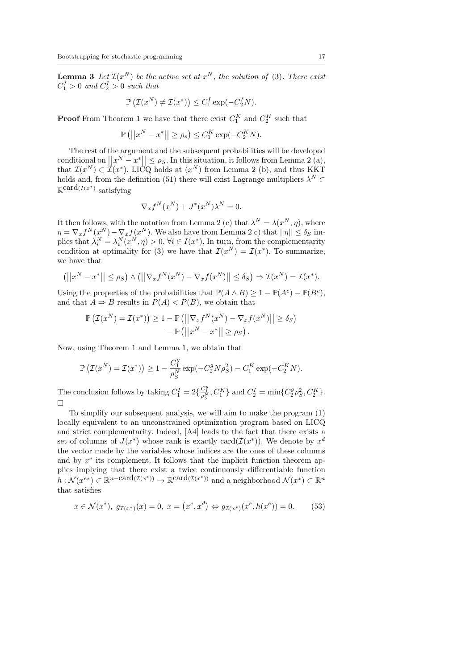**Lemma 3** Let  $\mathcal{I}(x^N)$  be the active set at  $x^N$ , the solution of (3). There exist  $C_1^I > 0$  and  $C_2^I > 0$  such that

$$
\mathbb{P}\left(\mathcal{I}(x^N) \neq \mathcal{I}(x^*)\right) \leq C_1^I \exp(-C_2^I N).
$$

**Proof** From Theorem 1 we have that there exist  $C_1^K$  and  $C_2^K$  such that

$$
\mathbb{P}\left(\left|\left|x^N - x^*\right|\right| \ge \rho_s\right) \le C_1^K \exp(-C_2^K N).
$$

The rest of the argument and the subsequent probabilities will be developed conditional on  $||x^N - x^*|| \leq \rho_S$ . In this situation, it follows from Lemma 2 (a), that  $\mathcal{I}(x^N) \subset \mathcal{I}(x^*)$ . LICQ holds at  $(x^N)$  from Lemma 2 (b), and thus KKT holds and, from the definition (51) there will exist Lagrange multipliers  $\lambda^N \subset$  $\mathbb{R}^{\operatorname{card}(I(x^*))}$  satisfying

$$
\nabla_x f^N(x^N) + J^*(x^N)\lambda^N = 0.
$$

It then follows, with the notation from Lemma 2 (c) that  $\lambda^N = \lambda(x^N, \eta)$ , where  $\eta = \nabla_x f^N(x^N) - \nabla_x f(x^N)$ . We also have from Lemma 2 c) that  $||\eta|| \le \delta_S$  implies that  $\lambda_i^N = \lambda_i^N(x^N, \eta) > 0$ ,  $\forall i \in I(x^*)$ . In turn, from the complementarity condition at optimality for (3) we have that  $\mathcal{I}(x^N) = \mathcal{I}(x^*)$ . To summarize, we have that

$$
(||x^N - x^*|| \le \rho_S) \wedge (||\nabla_x f^N(x^N) - \nabla_x f(x^N)|| \le \delta_S) \Rightarrow \mathcal{I}(x^N) = \mathcal{I}(x^*).
$$

Using the properties of the probabilities that  $\mathbb{P}(A \wedge B) \geq 1 - \mathbb{P}(A^c) - \mathbb{P}(B^c)$ , and that  $A \Rightarrow B$  results in  $P(A) < P(B)$ , we obtain that

$$
\mathbb{P}\left(\mathcal{I}(x^N) = \mathcal{I}(x^*)\right) \ge 1 - \mathbb{P}\left(\left|\left|\nabla_x f^N(x^N) - \nabla_x f(x^N)\right|\right| \ge \delta_S\right) - \mathbb{P}\left(\left|\left|x^N - x^*\right|\right| \ge \rho_S\right).
$$

Now, using Theorem 1 and Lemma 1, we obtain that

$$
\mathbb{P}\left(\mathcal{I}(x^N) = \mathcal{I}(x^*)\right) \ge 1 - \frac{C_1^g}{\rho_S^N} \exp(-C_2^g N \rho_S^2) - C_1^K \exp(-C_2^K N).
$$

The conclusion follows by taking  $C_1^I = 2\{\frac{C_1^g}{\rho_S^N}, C_1^K\}$  and  $C_2^I = \min\{C_2^g \rho_S^2, C_2^K\}$ .  $\Box$ 

To simplify our subsequent analysis, we will aim to make the program (1) locally equivalent to an unconstrained optimization program based on LICQ and strict complementarity. Indeed, [A4] leads to the fact that there exists a set of columns of  $J(x^*)$  whose rank is exactly card $(\mathcal{I}(x^*))$ . We denote by  $x^d$ the vector made by the variables whose indices are the ones of these columns and by  $x^e$  its complement. It follows that the implicit function theorem applies implying that there exist a twice continuously differentiable function  $h: \mathcal{N}(x^{e*}) \subset \mathbb{R}^{n-\mathrm{card}(\mathcal{I}(x^*))} \to \mathbb{R}^{\mathrm{card}(\mathcal{I}(x^*))}$  and a neighborhood  $\mathcal{N}(x^*) \subset \mathbb{R}^n$ that satisfies

$$
x \in \mathcal{N}(x^*), \ g_{\mathcal{I}(x^*)}(x) = 0, \ x = \left(x^e, x^d\right) \Leftrightarrow g_{\mathcal{I}(x^*)}(x^e, h(x^e)) = 0. \tag{53}
$$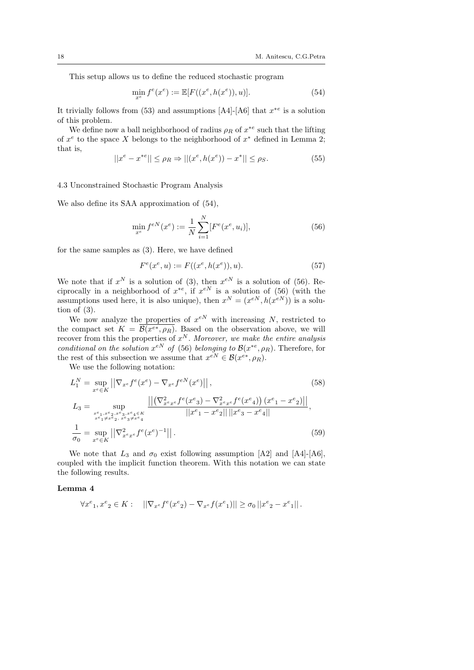This setup allows us to define the reduced stochastic program

$$
\min_{x^e} f^e(x^e) := \mathbb{E}[F((x^e, h(x^e)), u)]. \tag{54}
$$

It trivially follows from (53) and assumptions [A4]-[A6] that  $x^{*e}$  is a solution of this problem.

We define now a ball neighborhood of radius  $\rho_R$  of  $x^{*e}$  such that the lifting of  $x^e$  to the space X belongs to the neighborhood of  $x^*$  defined in Lemma 2; that is,

$$
||x^{e} - x^{*e}|| \le \rho_R \Rightarrow ||(x^{e}, h(x^{e})) - x^{*}|| \le \rho_S.
$$
 (55)

#### 4.3 Unconstrained Stochastic Program Analysis

We also define its SAA approximation of (54),

$$
\min_{x^e} f^{eN}(x^e) := \frac{1}{N} \sum_{i=1}^N [F^e(x^e, u_i)],\tag{56}
$$

for the same samples as (3). Here, we have defined

$$
F^{e}(x^{e}, u) := F((x^{e}, h(x^{e})), u). \tag{57}
$$

We note that if  $x^N$  is a solution of (3), then  $x^{eN}$  is a solution of (56). Reciprocally in a neighborhood of  $x^{*e}$ , if  $x^{eN}$  is a solution of (56) (with the assumptions used here, it is also unique), then  $x^N = (x^{eN}, h(x^{eN}))$  is a solution of  $(3)$ .

We now analyze the properties of  $x^{eN}$  with increasing N, restricted to the compact set  $K = \mathcal{B}(x^{e*}, \rho_R)$ . Based on the observation above, we will recover from this the properties of  $x^N$ . Moreover, we make the entire analysis conditional on the solution  $x^{eN}$  of (56) belonging to  $\mathcal{B}(x^{*e}, \rho_R)$ . Therefore, for the rest of this subsection we assume that  $x^{eN} \in \mathcal{B}(x^{e*}, \rho_R)$ .

We use the following notation:

$$
L_1^N = \sup_{x^e \in K} \left| \left| \nabla_{x^e} f^e(x^e) - \nabla_{x^e} f^{eN}(x^e) \right| \right|, \tag{58}
$$
  
\n
$$
L_3 = \sup_{\substack{x^e_1, x^e_2, x^e_3, x^e_4 \in K \\ x^e_1 \neq x^e_2, x^e_3 \neq x^e_4}} \frac{\left| \left| \left( \nabla_{x^e x^e}^2 f^e(x^e_3) - \nabla_{x^e x^e}^2 f^e(x^e_4) \right) (x^e_1 - x^e_2) \right| \right|}{\left| |x^e_1 - x^e_2| \right| \left| |x^e_3 - x^e_4| \right|},
$$
  
\n
$$
\frac{1}{\sigma_0} = \sup_{x^e \in K} \left| \left| \nabla_{x^e x^e}^2 f^e(x^e)^{-1} \right| \right|.
$$
  
\n(59)

We note that  $L_3$  and  $\sigma_0$  exist following assumption [A2] and [A4]-[A6], coupled with the implicit function theorem. With this notation we can state the following results.

#### Lemma 4

$$
\forall x^{e_1}, x^{e_2} \in K: \quad ||\nabla_{x^e} f^e(x^e_2) - \nabla_{x^e} f(x^e_1)|| \ge \sigma_0 ||x^e_2 - x^e_1||.
$$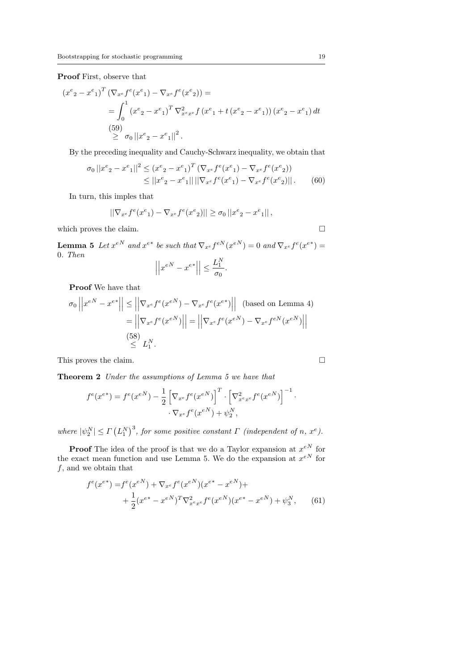Proof First, observe that

$$
(x^{e}{}_{2} - x^{e}{}_{1})^{T} (\nabla_{x^{e}} f^{e}(x^{e}{}_{1}) - \nabla_{x^{e}} f^{e}(x^{e}{}_{2})) =
$$
  
= 
$$
\int_{0}^{1} (x^{e}{}_{2} - x^{e}{}_{1})^{T} \nabla_{x^{e}x^{e}}^{2} f(x^{e}{}_{1} + t(x^{e}{}_{2} - x^{e}{}_{1})) (x^{e}{}_{2} - x^{e}{}_{1}) dt
$$
  
(59)  

$$
\geq \sigma_{0} ||x^{e}{}_{2} - x^{e}{}_{1}||^{2}.
$$

By the preceding inequality and Cauchy-Schwarz inequality, we obtain that

$$
\sigma_0 ||x^e{}_2 - x^e{}_1||^2 \le (x^e{}_2 - x^e{}_1)^T (\nabla_{x^e} f^e(x^e{}_1) - \nabla_{x^e} f^e(x^e{}_2))
$$
  
 
$$
\le ||x^e{}_2 - x^e{}_1|| ||\nabla_{x^e} f^e(x^e{}_1) - \nabla_{x^e} f^e(x^e{}_2)||. \tag{60}
$$

In turn, this imples that

$$
||\nabla_{x^e} f^e(x^e_1) - \nabla_{x^e} f^e(x^e_2)|| \ge \sigma_0 ||x^e_2 - x^e_1||,
$$

which proves the claim.  $\hfill \square$ 

**Lemma 5** Let  $x^{eN}$  and  $x^{e*}$  be such that  $\nabla_{x^e} f^{eN}(x^{eN}) = 0$  and  $\nabla_{x^e} f^{e}(x^{e*}) = 0$ 0. Then  $\mathop{||}$ 

$$
\left| \left| x^{eN} - x^{e*} \right| \right| \le \frac{L_1^N}{\sigma_0}.
$$

Proof We have that

$$
\sigma_0 \left| \left| x^{eN} - x^{e*} \right| \right| \le \left| \left| \nabla_{x^e} f^e(x^{eN}) - \nabla_{x^e} f^e(x^{e*}) \right| \right| \text{ (based on Lemma 4)}
$$

$$
= \left| \left| \nabla_{x^e} f^e(x^{eN}) \right| \right| = \left| \left| \nabla_{x^e} f^e(x^{eN}) - \nabla_{x^e} f^{eN}(x^{eN}) \right| \right|
$$

$$
\overset{(58)}{\le} L_1^N.
$$

This proves the claim.  $\Box$ 

Theorem 2 Under the assumptions of Lemma 5 we have that

$$
f^{e}(x^{e*}) = f^{e}(x^{eN}) - \frac{1}{2} \left[ \nabla_{x^{e}} f^{e}(x^{eN}) \right]^{T} \cdot \left[ \nabla_{x^{e}x^{e}}^{2} f^{e}(x^{eN}) \right]^{-1} \cdot \nabla_{x^{e}} f^{e}(x^{eN}) + \psi_{2}^{N},
$$

where  $|\psi_2^N| \le \Gamma (L_1^N)^3$ , for some positive constant  $\Gamma$  (independent of n,  $x^e$ ).

**Proof** The idea of the proof is that we do a Taylor expansion at  $x^{eN}$  for the exact mean function and use Lemma 5. We do the expansion at  $x^{eN}$  for  $\boldsymbol{f},$  and we obtain that

$$
f^{e}(x^{e*}) = f^{e}(x^{eN}) + \nabla_{x^{e}} f^{e}(x^{eN})(x^{e*} - x^{eN}) +
$$
  
+ 
$$
\frac{1}{2}(x^{e*} - x^{eN})^{T} \nabla_{x^{e}x^{e}}^{2} f^{e}(x^{eN})(x^{e*} - x^{eN}) + \psi_{3}^{N},
$$
(61)

·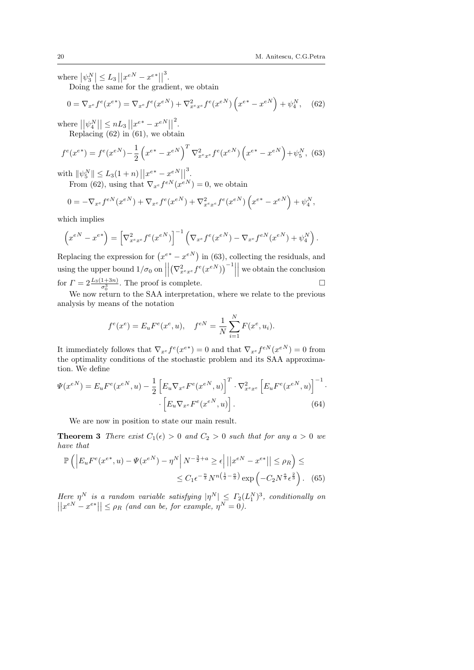where  $|\psi_3^N| \leq L_3 ||x^{eN} - x^{e*}||$ 3 .

Doing the same for the gradient, we obtain

$$
0 = \nabla_{x^e} f^e(x^{e^*}) = \nabla_{x^e} f^e(x^{eN}) + \nabla_{x^e x^e}^2 f^e(x^{eN}) \left( x^{e^*} - x^{eN} \right) + \psi_4^N, \quad (62)
$$

where  $||\psi_4^N|| \leq nL_3 ||x^{e^*} - x^{eN}||$ 2 . Replacing  $(62)$  in  $(61)$ , we obtain

$$
f^{e}(x^{e*}) = f^{e}(x^{eN}) - \frac{1}{2} \left( x^{e*} - x^{eN} \right)^{T} \nabla_{x^{e}x^{e}}^{2} f^{e}(x^{eN}) \left( x^{e*} - x^{eN} \right) + \psi_{5}^{N}, \tag{63}
$$

with  $\|\psi_5^N\| \le L_3(1+n) ||x^{e*}-x^{eN}||$ 3 .

From (62), using that  $\nabla_{x} f^{eN}(x^{eN}) = 0$ , we obtain

$$
0 = -\nabla_{x^e} f^{eN}(x^{eN}) + \nabla_{x^e} f^e(x^{eN}) + \nabla_{x^e x^e}^2 f^e(x^{eN}) \left(x^{e*} - x^{eN}\right) + \psi_4^N,
$$

which implies

$$
\left(x^{eN} - x^{e*}\right) = \left[\nabla_{x^e x^e}^2 f^e(x^{eN})\right]^{-1} \left(\nabla_{x^e} f^e(x^{eN}) - \nabla_{x^e} f^{eN}(x^{eN}) + \psi_4^N\right).
$$

Replacing the expression for  $(x^{e^*}-x^{eN})$  in (63), collecting the residuals, and using the upper bound  $1/\sigma_0$  on  $\Big|$  $\begin{array}{c} \begin{array}{c} \begin{array}{c} \end{array} \\ \begin{array}{c} \end{array} \end{array} \end{array}$  $\left(\nabla_{x^ex^e}^2 f^e(x^{eN})\right)^{-1}$    we obtain the conclusion for  $\Gamma = 2 \frac{L_3(1+3n)}{\sigma_0^3}$ . The proof is complete.

We now return to the SAA interpretation, where we relate to the previous analysis by means of the notation

$$
f^{e}(x^{e}) = E_{u}F^{e}(x^{e}, u), \quad f^{eN} = \frac{1}{N} \sum_{i=1}^{N} F(x^{e}, u_{i}).
$$

It immediately follows that  $\nabla_{x^e} f^e(x^{e^*}) = 0$  and that  $\nabla_{x^e} f^{eN}(x^{eN}) = 0$  from the optimality conditions of the stochastic problem and its SAA approximation. We define

$$
\Psi(x^{eN}) = E_u F^e(x^{eN}, u) - \frac{1}{2} \left[ E_u \nabla_{x^e} F^e(x^{eN}, u) \right]^T \cdot \nabla_{x^e x^e}^2 \left[ E_u F^e(x^{eN}, u) \right]^{-1} \cdot \left[ E_u \nabla_{x^e} F^e(x^{eN}, u) \right]. \tag{64}
$$

We are now in position to state our main result.

**Theorem 3** There exist  $C_1(\epsilon) > 0$  and  $C_2 > 0$  such that for any  $a > 0$  we have that

$$
\mathbb{P}\left(\left|E_u F^e(x^{e^*}, u) - \Psi(x^{eN}) - \eta^N\right| N^{-\frac{3}{2}+a} \ge \epsilon\right| ||x^{eN} - x^{e^*}|| \le \rho_R\right) \le
$$
  

$$
\le C_1 \epsilon^{-\frac{n}{3}} N^{n\left(\frac{1}{2} - \frac{a}{3}\right)} \exp\left(-C_2 N^{\frac{a}{3}} \epsilon^{\frac{2}{3}}\right). \tag{65}
$$

Here  $\eta^N$  is a random variable satisfying  $|\eta^N|\leq \Gamma_2(L_1^N)^3$ , conditionally on  $||x^{eN} - x^{e*}|| \le \rho_R$  (and can be, for example,  $\eta^N = 0$ ).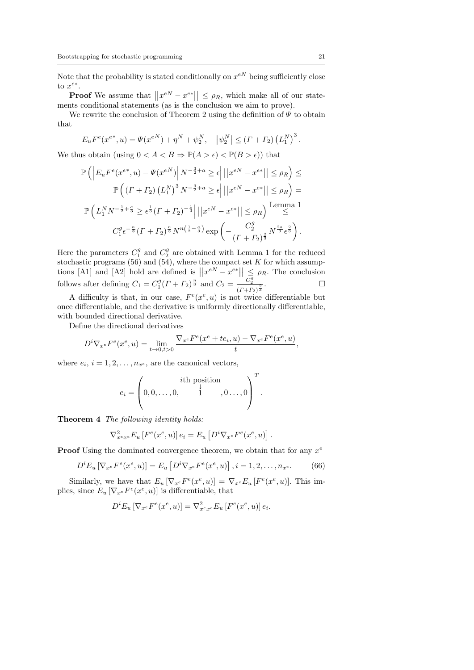Note that the probability is stated conditionally on  $x^{eN}$  being sufficiently close to  $x^{e*}$ .

**Proof** We assume that  $||x^{eN} - x^{e*}|| \leq \rho_R$ , which make all of our statements conditional statements (as is the conclusion we aim to prove).

We rewrite the conclusion of Theorem 2 using the definition of  $\Psi$  to obtain that

$$
E_u F^e(x^{e*}, u) = \Psi(x^{eN}) + \eta^N + \psi_2^N, \quad |\psi_2^N| \le (T + \Gamma_2) (L_1^N)^3.
$$

We thus obtain (using  $0 < A < B \Rightarrow \mathbb{P}(A > \epsilon) < \mathbb{P}(B > \epsilon)$ ) that

$$
\mathbb{P}\left(\left|E_{u}F^{e}(x^{e*}, u) - \Psi(x^{eN})\right| N^{-\frac{3}{2}+a} \geq \epsilon \right| ||x^{eN} - x^{e*}|| \leq \rho_{R}\right) \leq
$$
  

$$
\mathbb{P}\left(\left(\Gamma + \Gamma_{2}\right) \left(L_{1}^{N}\right)^{3} N^{-\frac{3}{2}+a} \geq \epsilon \right| ||x^{eN} - x^{e*}|| \leq \rho_{R}\right) =
$$
  

$$
\mathbb{P}\left(L_{1}^{N} N^{-\frac{1}{2}+\frac{a}{3}} \geq \epsilon^{\frac{1}{3}} (\Gamma + \Gamma_{2})^{-\frac{1}{3}} \right| ||x^{eN} - x^{e*}|| \leq \rho_{R}\right) \xrightarrow{\text{Lemma 1}}
$$
  

$$
C_{1}^{g} \epsilon^{-\frac{n}{3}} (\Gamma + \Gamma_{2})^{\frac{n}{3}} N^{n\left(\frac{1}{2}-\frac{a}{3}\right)} \exp\left(-\frac{C_{2}^{g}}{(\Gamma + \Gamma_{2})^{\frac{2}{3}}} N^{\frac{2a}{3}} \epsilon^{\frac{2}{3}}\right).
$$

Here the parameters  $C_1^g$  and  $C_2^g$  are obtained with Lemma 1 for the reduced stochastic programs  $(56)$  and  $(54)$ , where the compact set K for which assumptions [A1] and [A2] hold are defined is  $||x^{eN} - x^{e*}|| \leq \rho_R$ . The conclusion follows after defining  $C_1 = C_1^g (T + T_2)^{\frac{n}{3}}$  and  $C_2 = \frac{C_2^g}{(T+T_2)^{\frac{n}{3}}}$  $\frac{C_2^9}{(T+{\Gamma}_2)^{\frac{2}{3}}}$ .

A difficulty is that, in our case,  $F^e(x^e, u)$  is not twice differentiable but once differentiable, and the derivative is uniformly directionally differentiable, with bounded directional derivative.

Define the directional derivatives

$$
D^{i} \nabla_{x^{e}} F^{e}(x^{e}, u) = \lim_{t \to 0, t > 0} \frac{\nabla_{x^{e}} F^{e}(x^{e} + te_{i}, u) - \nabla_{x^{e}} F^{e}(x^{e}, u)}{t}
$$

where  $e_i$ ,  $i = 1, 2, \ldots, n_{x^e}$ , are the canonical vectors,

$$
e_i = \left(0, 0, \ldots, 0, \begin{array}{c} i\text{th position} \\ \downarrow \\ 1 \end{array}, 0 \ldots, 0\right)^T.
$$

Theorem 4 The following identity holds:

$$
\nabla_{x^e x^e}^2 E_u \left[ F^e(x^e, u) \right] e_i = E_u \left[ D^i \nabla_{x^e} F^e(x^e, u) \right].
$$

**Proof** Using the dominated convergence theorem, we obtain that for any  $x^e$ 

$$
D^{i}E_{u}\left[\nabla_{x^{e}}F^{e}(x^{e}, u)\right] = E_{u}\left[D^{i}\nabla_{x^{e}}F^{e}(x^{e}, u)\right], i = 1, 2, ..., n_{x^{e}}.
$$
 (66)

Similarly, we have that  $E_u \left[ \nabla_{x^e} F^e(x^e, u) \right] = \nabla_{x^e} E_u \left[ F^e(x^e, u) \right]$ . This implies, since  $E_u \left[ \nabla_{x^e} F^e(x^e, u) \right]$  is differentiable, that

$$
D^{i}E_{u}\left[\nabla_{x^{e}}F^{e}(x^{e},u)\right]=\nabla_{x^{e}x^{e}}^{2}E_{u}\left[F^{e}(x^{e},u)\right]e_{i}.
$$

,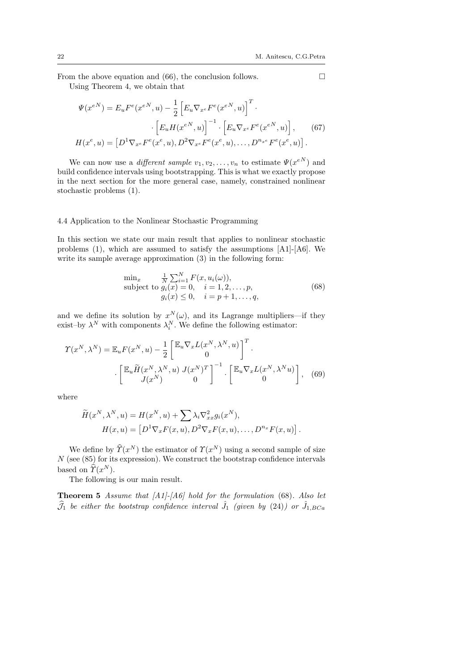From the above equation and (66), the conclusion follows.  $\square$ 

Using Theorem 4, we obtain that

$$
\Psi(x^{eN}) = E_u F^e(x^{eN}, u) - \frac{1}{2} \left[ E_u \nabla_{x^e} F^e(x^{eN}, u) \right]^T \cdot \left[ E_u H(x^{eN}, u) \right]^{-1} \cdot \left[ E_u \nabla_{x^e} F^e(x^{eN}, u) \right], \qquad (67)
$$

$$
H(x^e, u) = \left[ D^1 \nabla_{x^e} F^e(x^e, u), D^2 \nabla_{x^e} F^e(x^e, u), \dots, D^{n_{xe}} F^e(x^e, u) \right].
$$

We can now use a *different sample*  $v_1, v_2, \ldots, v_n$  to estimate  $\Psi(x^{eN})$  and build confidence intervals using bootstrapping. This is what we exactly propose in the next section for the more general case, namely, constrained nonlinear stochastic problems (1).

### 4.4 Application to the Nonlinear Stochastic Programming

In this section we state our main result that applies to nonlinear stochastic problems (1), which are assumed to satisfy the assumptions  $[A1]$ - $[A6]$ . We write its sample average approximation (3) in the following form:

$$
\min_{x} \frac{1}{N} \sum_{i=1}^{N} F(x, u_i(\omega)),
$$
\nsubject to  $g_i(x) = 0, \quad i = 1, 2, ..., p,$   
\n $g_i(x) \le 0, \quad i = p + 1, ..., q,$ \n(68)

and we define its solution by  $x^N(\omega)$ , and its Lagrange multipliers—if they exist–by  $\lambda^N$  with components  $\lambda_i^N$ . We define the following estimator:

$$
\mathcal{T}(x^N, \lambda^N) = \mathbb{E}_u F(x^N, u) - \frac{1}{2} \begin{bmatrix} \mathbb{E}_u \nabla_x L(x^N, \lambda^N, u) \\ 0 \end{bmatrix}^T.
$$

$$
\cdot \begin{bmatrix} \mathbb{E}_u \widetilde{H}(x^N, \lambda^N, u) J(x^N)^T \\ J(x^N) & 0 \end{bmatrix}^{-1} \cdot \begin{bmatrix} \mathbb{E}_u \nabla_x L(x^N, \lambda^N u) \\ 0 \end{bmatrix}, \quad (69)
$$

where

$$
\widetilde{H}(x^N, \lambda^N, u) = H(x^N, u) + \sum \lambda_i \nabla_{xx}^2 g_i(x^N),
$$

$$
H(x, u) = \left[ D^1 \nabla_x F(x, u), D^2 \nabla_x F(x, u), \dots, D^{n_x} F(x, u) \right].
$$

We define by  $\hat{T}(x^N)$  the estimator of  $\hat{T}(x^N)$  using a second sample of size  $N$  (see (85) for its expression). We construct the bootstrap confidence intervals based on  $\hat{T}(x^N)$ .

The following is our main result.

**Theorem 5** Assume that  $\begin{bmatrix} A1 \end{bmatrix}$ - $\begin{bmatrix} A6 \end{bmatrix}$  hold for the formulation (68). Also let  $\widehat{\mathcal{J}}_1$  be either the bootstrap confidence interval  $\widehat{J}_1$  (given by (24)) or  $\widehat{J}_{1,BCa}$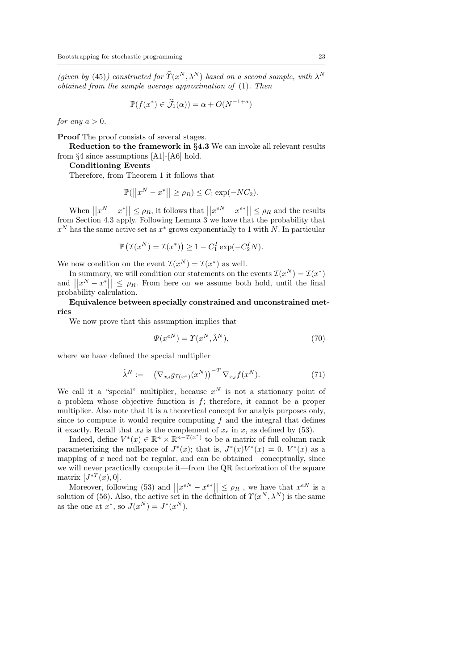(given by (45)) constructed for  $\hat{T}(x^N, \lambda^N)$  based on a second sample, with  $\lambda^N$ obtained from the sample average approximation of (1). Then

$$
\mathbb{P}(f(x^*) \in \widehat{\mathcal{J}}_1(\alpha)) = \alpha + O(N^{-1+a})
$$

for any  $a > 0$ .

Proof The proof consists of several stages.

Reduction to the framework in §4.3 We can invoke all relevant results from §4 since assumptions [A1]-[A6] hold.

Conditioning Events

Therefore, from Theorem 1 it follows that

$$
\mathbb{P}(||x^N - x^*|| \ge \rho_R) \le C_1 \exp(-NC_2).
$$

When  $||x^N - x^*|| \le \rho_R$ , it follows that  $||x^{eN} - x^{e*}|| \le \rho_R$  and the results from Section 4.3 apply. Following Lemma 3 we have that the probability that  $x^N$  has the same active set as  $x^*$  grows exponentially to 1 with N. In particular

$$
\mathbb{P}\left(\mathcal{I}(x^N) = \mathcal{I}(x^*)\right) \ge 1 - C_1^I \exp(-C_2^I N).
$$

We now condition on the event  $\mathcal{I}(x^N) = \mathcal{I}(x^*)$  as well.

In summary, we will condition our statements on the events  $\mathcal{I}(x^N) = \mathcal{I}(x^*)$ and  $||x^N - x^*|| \le \rho_R$ . From here on we assume both hold, until the final probability calculation.

Equivalence between specially constrained and unconstrained metrics

We now prove that this assumption implies that

$$
\Psi(x^{eN}) = \Upsilon(x^N, \tilde{\lambda}^N),\tag{70}
$$

where we have defined the special multiplier

$$
\tilde{\lambda}^N := -\left(\nabla_{x_d} g_{\mathcal{I}(x^*)}(x^N)\right)^{-T} \nabla_{x_d} f(x^N). \tag{71}
$$

We call it a "special" multiplier, because  $x^N$  is not a stationary point of a problem whose objective function is  $f$ ; therefore, it cannot be a proper multiplier. Also note that it is a theoretical concept for analyis purposes only, since to compute it would require computing  $f$  and the integral that defines it exactly. Recall that  $x_d$  is the complement of  $x_e$  in  $x$ , as defined by (53).

Indeed, define  $V^*(x) \in \mathbb{R}^n \times \mathbb{R}^{n-\mathcal{I}(x^*)}$  to be a matrix of full column rank parameterizing the nullspace of  $J^*(x)$ ; that is,  $J^*(x)V^*(x) = 0$ .  $V^*(x)$  as a mapping of  $x$  need not be regular, and can be obtained—conceptually, since we will never practically compute it—from the QR factorization of the square matrix  $[J^{*T}(x),0].$ 

Moreover, following (53) and  $||x^{eN} - x^{e*}|| \le \rho_R$ , we have that  $x^{eN}$  is a solution of (56). Also, the active set in the definition of  $\Upsilon(x^N, \lambda^N)$  is the same as the one at  $x^*$ , so  $J(x^N) = J^*(x^N)$ .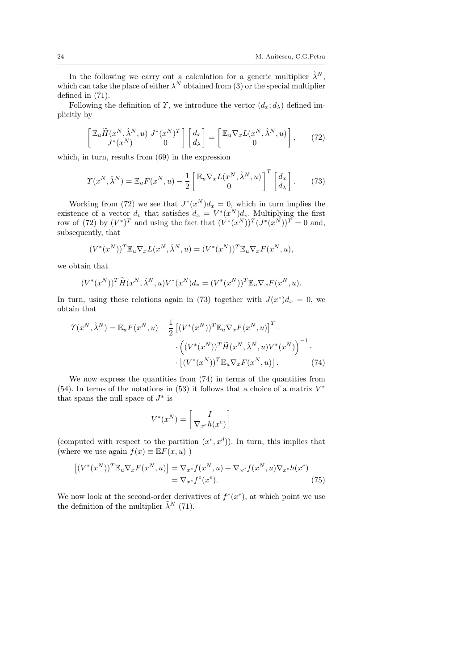In the following we carry out a calculation for a generic multiplier  $\hat{\lambda}^N$ , which can take the place of either  $\lambda^N$  obtained from (3) or the special multiplier defined in (71).

Following the definition of  $\Upsilon$ , we introduce the vector  $(d_x; d_\lambda)$  defined implicitly by

$$
\begin{bmatrix} \mathbb{E}_u \widetilde{H}(x^N, \hat{\lambda}^N, u) \ J^*(x^N) & 0 \end{bmatrix} \begin{bmatrix} d_x \\ d_\lambda \end{bmatrix} = \begin{bmatrix} \mathbb{E}_u \nabla_x L(x^N, \hat{\lambda}^N, u) \\ 0 & 0 \end{bmatrix}, \qquad (72)
$$

which, in turn, results from (69) in the expression

$$
\Upsilon(x^N, \hat{\lambda}^N) = \mathbb{E}_u F(x^N, u) - \frac{1}{2} \begin{bmatrix} \mathbb{E}_u \nabla_x L(x^N, \hat{\lambda}^N, u) \\ 0 \end{bmatrix}^T \begin{bmatrix} d_x \\ d_\lambda \end{bmatrix}.
$$
 (73)

Working from (72) we see that  $J^*(x^N)d_x = 0$ , which in turn implies the existence of a vector  $d_v$  that satisfies  $d_x = V^*(x^N) d_v$ . Multiplying the first row of (72) by  $(V^*)^T$  and using the fact that  $(V^*(x^N))^T (J^*(x^N))^T = 0$  and, subsequently, that

$$
(V^*(x^N))^T \mathbb{E}_u \nabla_x L(x^N, \hat{\lambda}^N, u) = (V^*(x^N))^T \mathbb{E}_u \nabla_x F(x^N, u),
$$

we obtain that

$$
(V^*(x^N))^T \widetilde{H}(x^N, \widehat{\lambda}^N, u) V^*(x^N) d_v = (V^*(x^N))^T \mathbb{E}_u \nabla_x F(x^N, u).
$$

In turn, using these relations again in (73) together with  $J(x^*)d_x = 0$ , we obtain that

Υ(x <sup>N</sup> , λˆ<sup>N</sup> ) = EuF(x <sup>N</sup> , u) − 1 2 -(V ∗ (x <sup>N</sup> ))<sup>T</sup> Eu∇xF(x <sup>N</sup> , u) T · · (V ∗ (x <sup>N</sup> ))<sup>T</sup> <sup>H</sup>e(<sup>x</sup> <sup>N</sup> , λˆ<sup>N</sup> , u)V ∗ (x N ) <sup>−</sup><sup>1</sup> · · -(V ∗ (x <sup>N</sup> ))<sup>T</sup> Eu∇xF(x <sup>N</sup> , u) . (74)

We now express the quantities from  $(74)$  in terms of the quantities from (54). In terms of the notations in (53) it follows that a choice of a matrix  $V^*$ that spans the null space of  $J^*$  is

$$
V^*(x^N) = \left[\frac{I}{\nabla_{x^e} h(x^e)}\right]
$$

(computed with respect to the partition  $(x^e, x^d)$ ). In turn, this implies that (where we use again  $f(x) \equiv \mathbb{E}F(x, u)$ )

$$
\begin{aligned} \left[ (V^*(x^N))^T \mathbb{E}_u \nabla_x F(x^N, u) \right] &= \nabla_{x^e} f(x^N, u) + \nabla_{x^d} f(x^N, u) \nabla_{x^e} h(x^e) \\ &= \nabla_{x^e} f^e(x^e). \end{aligned} \tag{75}
$$

We now look at the second-order derivatives of  $f^e(x^e)$ , at which point we use the definition of the multiplier  $\tilde{\lambda}^N$  (71).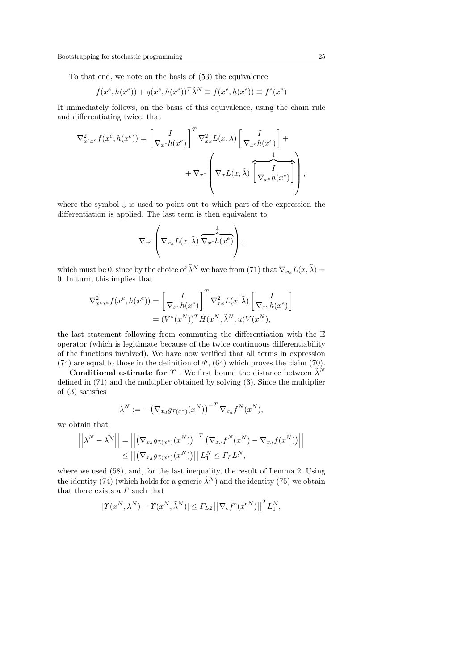To that end, we note on the basis of (53) the equivalence

$$
f(x^e, h(x^e)) + g(x^e, h(x^e))^T \tilde{\lambda}^N \equiv f(x^e, h(x^e)) \equiv f^e(x^e)
$$

It immediately follows, on the basis of this equivalence, using the chain rule and differentiating twice, that

$$
\nabla_{x^e x^e}^2 f(x^e, h(x^e)) = \left[ \nabla_{x^e} h(x^e) \right]^T \nabla_{xx}^2 L(x, \tilde{\lambda}) \left[ \nabla_{x^e} h(x^e) \right] + \nabla_{x^e} \left( \nabla_x L(x, \tilde{\lambda}) \left[ \nabla_x \frac{I}{\nabla_{x^e} h(x^e)} \right] \right),
$$

where the symbol  $\downarrow$  is used to point out to which part of the expression the differentiation is applied. The last term is then equivalent to

$$
\nabla_{x^e} \left( \nabla_{x_d} L(x, \tilde{\lambda}) \overbrace{\nabla_{x^e} h(x^e)}^{\downarrow} \right),
$$

which must be 0, since by the choice of  $\tilde{\lambda}^N$  we have from (71) that  $\nabla_{x_d} L(x, \tilde{\lambda}) =$ 0. In turn, this implies that

$$
\nabla_{x^e x^e}^2 f(x^e, h(x^e)) = \left[\begin{matrix} I \\ \nabla_{x^e} h(x^e) \end{matrix}\right]^T \nabla_{xx}^2 L(x, \tilde{\lambda}) \left[\begin{matrix} I \\ \nabla_{x^e} h(x^e) \end{matrix}\right]
$$

$$
= (V^*(x^N))^T \widetilde{H}(x^N, \tilde{\lambda}^N, u) V(x^N),
$$

the last statement following from commuting the differentiation with the E operator (which is legitimate because of the twice continuous differentiability of the functions involved). We have now verified that all terms in expression (74) are equal to those in the definition of  $\Psi$ , (64) which proves the claim (70).

**Conditional estimate for**  $\Upsilon$ . We first bound the distance between  $\tilde{\lambda}^N$ defined in (71) and the multiplier obtained by solving (3). Since the multiplier of (3) satisfies

$$
\lambda^N := -\left(\nabla_{x_d} g_{\mathcal{I}(x^*)}(x^N)\right)^{-T} \nabla_{x_d} f^N(x^N),
$$

we obtain that

$$
\left| \left| \lambda^N - \lambda^{\tilde{N}} \right| \right| = \left| \left| \left( \nabla_{x_d} g_{\mathcal{I}(x^*)}(x^N) \right)^{-T} \left( \nabla_{x_d} f^N(x^N) - \nabla_{x_d} f(x^N) \right) \right| \right|
$$
  
\n
$$
\leq \left| \left| \left( \nabla_{x_d} g_{\mathcal{I}(x^*)}(x^N) \right) \right| \right| L_1^N \leq \Gamma_L L_1^N,
$$

where we used (58), and, for the last inequality, the result of Lemma 2. Using the identity (74) (which holds for a generic  $\hat{\lambda}^N$ ) and the identity (75) we obtain that there exists a  $\varGamma$  such that

$$
|\Upsilon(x^N, \lambda^N) - \Upsilon(x^N, \tilde{\lambda}^N)| \leq \Gamma_{L2} ||\nabla_e f^e(x^{eN})||^2 L_1^N,
$$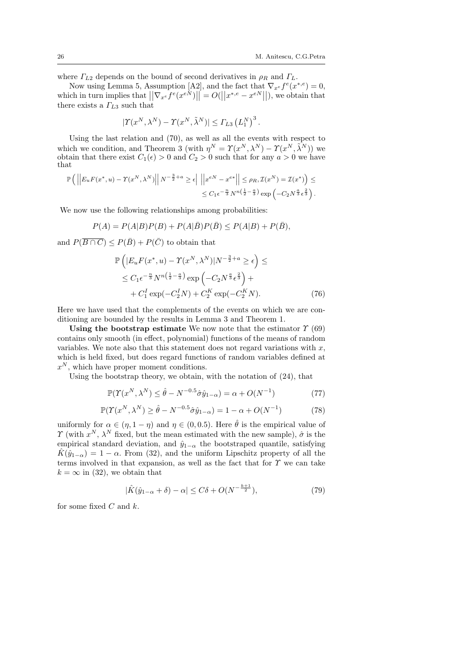where  $\Gamma_{L2}$  depends on the bound of second derivatives in  $\rho_R$  and  $\Gamma_L$ .

Now using Lemma 5, Assumption [A2], and the fact that  $\nabla_{x^e} f^e(x^{*,e}) = 0$ , which in turn implies that  $||\nabla_{x^e} f^e(x^{eN})|| = O(||x^{*,e} - x^{eN}||)$ , we obtain that there exists a  $\Gamma_{L3}$  such that

$$
|\Upsilon(x^N, \lambda^N) - \Upsilon(x^N, \tilde{\lambda}^N)| \leq \Gamma_{L3} (L_1^N)^3.
$$

Using the last relation and (70), as well as all the events with respect to which we condition, and Theorem 3 (with  $\eta^N = \Upsilon(x^N, \lambda^N) - \Upsilon(x^N, \tilde{\lambda}^N)$ ) we obtain that there exist  $C_1(\epsilon) > 0$  and  $C_2 > 0$  such that for any  $a > 0$  we have that

$$
\mathbb{P}\left(\left|\left|E_u F(x^*, u) - \Upsilon(x^N, \lambda^N)\right|\right| N^{-\frac{3}{2}+a} \geq \epsilon\right| \left|\left|x^{eN} - x^{e*}\right|\right| \leq \rho_R, \mathcal{I}(x^N) = \mathcal{I}(x^*)\right) \leq
$$
  

$$
\leq C_1 \epsilon^{-\frac{n}{3}} N^{n\left(\frac{1}{2} - \frac{a}{3}\right)} \exp\left(-C_2 N^{\frac{a}{3}} \epsilon^{\frac{2}{3}}\right).
$$

We now use the following relationships among probabilities:

$$
P(A) = P(A|B)P(B) + P(A|\overline{B})P(\overline{B}) \le P(A|B) + P(\overline{B}),
$$

and  $P(\overline{B \cap C}) \leq P(\overline{B}) + P(\overline{C})$  to obtain that

$$
\mathbb{P}\left(|E_u F(x^*, u) - \Upsilon(x^N, \lambda^N)|N^{-\frac{3}{2}+a} \geq \epsilon\right) \leq
$$
  
\n
$$
\leq C_1 \epsilon^{-\frac{n}{3}} N^{n\left(\frac{1}{2}-\frac{a}{3}\right)} \exp\left(-C_2 N^{\frac{a}{3}} \epsilon^{\frac{2}{3}}\right) +
$$
  
\n
$$
+ C_1^I \exp(-C_2^I N) + C_2^K \exp(-C_2^K N). \tag{76}
$$

Here we have used that the complements of the events on which we are conditioning are bounded by the results in Lemma 3 and Theorem 1.

Using the bootstrap estimate We now note that the estimator  $\Upsilon(69)$ contains only smooth (in effect, polynomial) functions of the means of random variables. We note also that this statement does not regard variations with  $x$ , which is held fixed, but does regard functions of random variables defined at  $x^N$ , which have proper moment conditions.

Using the bootstrap theory, we obtain, with the notation of (24), that

$$
\mathbb{P}(\Upsilon(x^N, \lambda^N) \le \hat{\theta} - N^{-0.5} \hat{\sigma} \hat{y}_{1-\alpha}) = \alpha + O(N^{-1})
$$
\n(77)

$$
\mathbb{P}(\Upsilon(x^N, \lambda^N) \ge \hat{\theta} - N^{-0.5} \hat{\sigma} \hat{y}_{1-\alpha}) = 1 - \alpha + O(N^{-1})
$$
\n(78)

uniformly for  $\alpha \in (\eta, 1 - \eta)$  and  $\eta \in (0, 0.5)$ . Here  $\hat{\theta}$  is the empirical value of  $\Upsilon$  (with  $x^N$ ,  $\lambda^N$  fixed, but the mean estimated with the new sample),  $\hat{\sigma}$  is the empirical standard deviation, and  $\hat{y}_{1-\alpha}$  the bootstraped quantile, satisfying  $\hat{K}(\hat{y}_{1-\alpha}) = 1 - \alpha$ . From (32), and the uniform Lipschitz property of all the terms involved in that expansion, as well as the fact that for  $\Upsilon$  we can take  $k = \infty$  in (32), we obtain that

$$
|\hat{K}(\hat{y}_{1-\alpha}+\delta) - \alpha| \le C\delta + O(N^{-\frac{k+1}{2}}),\tag{79}
$$

for some fixed  $C$  and  $k$ .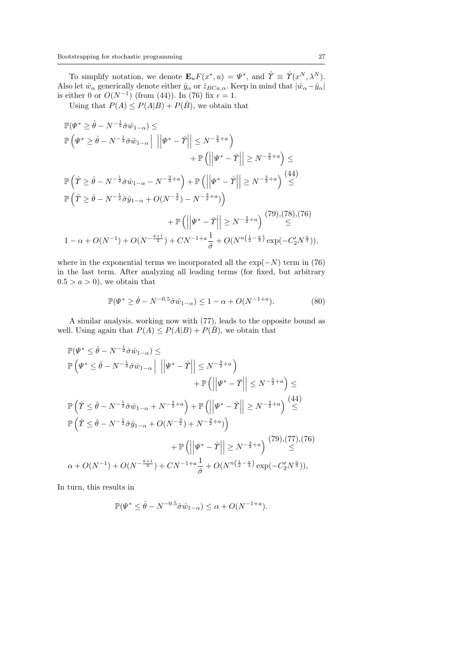To simplify notation, we denote  $\mathbf{E}_u F(x^*, u) = \Psi^*$ , and  $\hat{T} \equiv \hat{T}(x^N, \lambda^N)$ . Also let  $\hat{w}_{\alpha}$  generically denote either  $\hat{y}_{\alpha}$  or  $\hat{z}_{BCa,\alpha}$ . Keep in mind that  $|\hat{w}_{\alpha} - \hat{y}_{\alpha}|$ is either 0 or  $O(N^{-1})$  (from (44)). In (76) fix  $\epsilon = 1$ .

Using that  $P(A) \leq P(A|B) + P(\overline{B})$ , we obtain that

$$
\mathbb{P}(\Psi^* \ge \hat{\theta} - N^{-\frac{1}{2}} \hat{\sigma} \hat{w}_{1-\alpha}) \le
$$
\n
$$
\mathbb{P}(\Psi^* \ge \hat{\theta} - N^{-\frac{1}{2}} \hat{\sigma} \hat{w}_{1-\alpha} \Big| \| \Psi^* - \hat{\Upsilon} \| \le N^{-\frac{3}{2}+a} \Big) + \mathbb{P} \left( \| \Psi^* - \hat{\Upsilon} \| \ge N^{-\frac{3}{2}+a} \right) \le
$$
\n
$$
\mathbb{P}(\hat{\Upsilon} \ge \hat{\theta} - N^{-\frac{1}{2}} \hat{\sigma} \hat{w}_{1-\alpha} - N^{-\frac{3}{2}+a} \Big) + \mathbb{P} \left( \left| \Psi^* - \hat{\Upsilon} \right| \ge N^{-\frac{3}{2}+a} \right) \stackrel{(44)}{\le}
$$
\n
$$
\mathbb{P}(\hat{\Upsilon} \ge \hat{\theta} - N^{-\frac{1}{2}} \hat{\sigma} \hat{y}_{1-\alpha} + O(N^{-\frac{3}{2}}) - N^{-\frac{3}{2}+a} \Big) + \mathbb{P} \left( \left| \Psi^* - \hat{\Upsilon} \right| \ge N^{-\frac{3}{2}+a} \right) \stackrel{(79)}{\le} \le 1 - \alpha + O(N^{-1}) + O(N^{-\frac{k+1}{2}}) + CN^{-1+a} \frac{1}{\hat{\sigma}} + O(N^{n(\frac{1}{2} - \frac{a}{3})} \exp(-C_2' N^{\frac{a}{3}})),
$$

where in the exponential terms we incorporated all the  $\exp(-N)$  term in (76) in the last term. After analyzing all leading terms (for fixed, but arbitrary  $0.5 > a > 0$ , we obtain that

$$
\mathbb{P}(\Psi^* \ge \hat{\theta} - N^{-0.5} \hat{\sigma} \hat{w}_{1-\alpha}) \le 1 - \alpha + O(N^{-1+a}).
$$
 (80)

A similar analysis, working now with (77), leads to the opposite bound as well. Using again that  $P(A) \leq P(A|B) + P(\overline{B})$ , we obtain that

$$
\mathbb{P}(\Psi^* \leq \hat{\theta} - N^{-\frac{1}{2}} \hat{\sigma} \hat{w}_{1-\alpha}) \leq
$$
\n
$$
\mathbb{P}\left(\Psi^* \leq \hat{\theta} - N^{-\frac{1}{2}} \hat{\sigma} \hat{w}_{1-\alpha} \Big| \left\| \Psi^* - \hat{\Upsilon} \right\| \leq N^{-\frac{3}{2}+a} \right) + \mathbb{P}\left(\left\| \Psi^* - \hat{\Upsilon} \right\| \leq N^{-\frac{3}{2}+a} \right) \leq
$$
\n
$$
\mathbb{P}\left(\hat{\Upsilon} \leq \hat{\theta} - N^{-\frac{1}{2}} \hat{\sigma} \hat{w}_{1-\alpha} + N^{-\frac{3}{2}+a} \right) + \mathbb{P}\left(\left\| \Psi^* - \hat{\Upsilon} \right\| \geq N^{-\frac{3}{2}+a} \right) \stackrel{(44)}{\leq}
$$
\n
$$
\mathbb{P}\left(\hat{\Upsilon} \leq \hat{\theta} - N^{-\frac{1}{2}} \hat{\sigma} \hat{y}_{1-\alpha} + O(N^{-\frac{3}{2}}) + N^{-\frac{3}{2}+a} \right) + \mathbb{P}\left(\left\| \Psi^* - \hat{\Upsilon} \right\| \geq N^{-\frac{3}{2}+a} \right) \stackrel{(79)}{\leq}
$$
\n
$$
\alpha + O(N^{-1}) + O(N^{-\frac{k+1}{2}}) + CN^{-1+a} \frac{1}{\hat{\sigma}} + O(N^{n(\frac{1}{2}-\frac{a}{3})} \exp(-C_2' N^{\frac{a}{3}})),
$$

In turn, this results in

$$
\mathbb{P}(\Psi^* \le \hat{\theta} - N^{-0.5} \hat{\sigma} \hat{w}_{1-\alpha}) \le \alpha + O(N^{-1+a}).
$$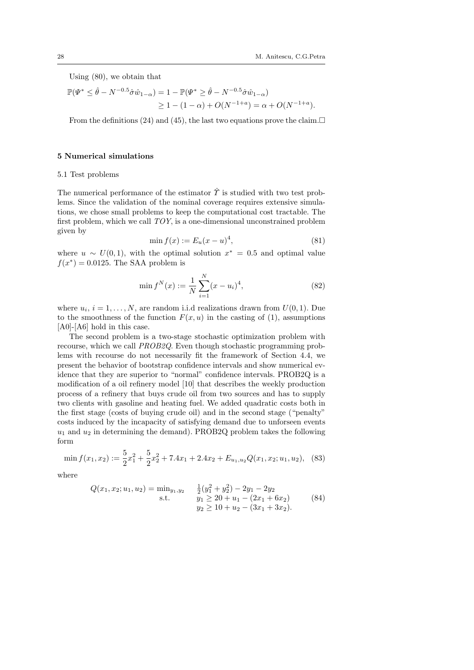Using (80), we obtain that

$$
\mathbb{P}(\Psi^* \le \hat{\theta} - N^{-0.5} \hat{\sigma} \hat{w}_{1-\alpha}) = 1 - \mathbb{P}(\Psi^* \ge \hat{\theta} - N^{-0.5} \hat{\sigma} \hat{w}_{1-\alpha})
$$
  
 
$$
\ge 1 - (1 - \alpha) + O(N^{-1+a}) = \alpha + O(N^{-1+a}).
$$

From the definitions (24) and (45), the last two equations prove the claim.

#### 5 Numerical simulations

### 5.1 Test problems

The numerical performance of the estimator  $\hat{\Upsilon}$  is studied with two test problems. Since the validation of the nominal coverage requires extensive simulations, we chose small problems to keep the computational cost tractable. The first problem, which we call TOY, is a one-dimensional unconstrained problem given by

$$
\min f(x) := E_u(x - u)^4,\tag{81}
$$

where  $u \sim U(0, 1)$ , with the optimal solution  $x^* = 0.5$  and optimal value  $f(x^*) = 0.0125$ . The SAA problem is

$$
\min f^N(x) := \frac{1}{N} \sum_{i=1}^N (x - u_i)^4,\tag{82}
$$

where  $u_i$ ,  $i = 1, ..., N$ , are random i.i.d realizations drawn from  $U(0, 1)$ . Due to the smoothness of the function  $F(x, u)$  in the casting of (1), assumptions [A0]-[A6] hold in this case.

The second problem is a two-stage stochastic optimization problem with recourse, which we call PROB2Q. Even though stochastic programming problems with recourse do not necessarily fit the framework of Section 4.4, we present the behavior of bootstrap confidence intervals and show numerical evidence that they are superior to "normal" confidence intervals. PROB2Q is a modification of a oil refinery model [10] that describes the weekly production process of a refinery that buys crude oil from two sources and has to supply two clients with gasoline and heating fuel. We added quadratic costs both in the first stage (costs of buying crude oil) and in the second stage ("penalty" costs induced by the incapacity of satisfying demand due to unforseen events  $u_1$  and  $u_2$  in determining the demand). PROB2Q problem takes the following form

$$
\min f(x_1, x_2) := \frac{5}{2}x_1^2 + \frac{5}{2}x_2^2 + 7.4x_1 + 2.4x_2 + E_{u_1, u_2}Q(x_1, x_2; u_1, u_2), \tag{83}
$$

where

$$
Q(x_1, x_2; u_1, u_2) = \min_{y_1, y_2} \quad \frac{1}{2}(y_1^2 + y_2^2) - 2y_1 - 2y_2
$$
  
s.t. 
$$
y_1 \ge 20 + u_1 - (2x_1 + 6x_2)
$$

$$
y_2 \ge 10 + u_2 - (3x_1 + 3x_2).
$$
 (84)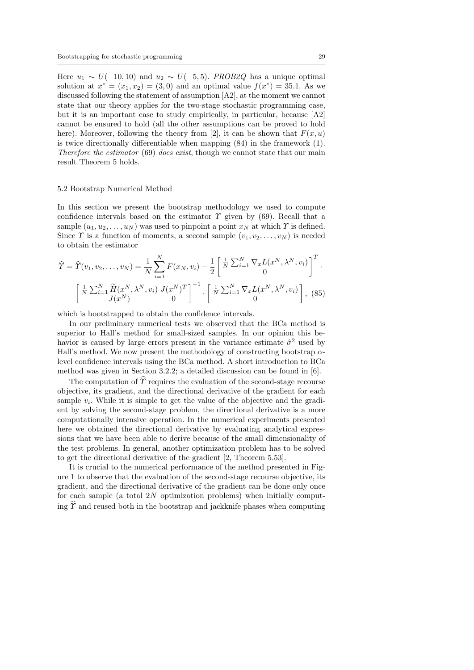Here  $u_1 \sim U(-10, 10)$  and  $u_2 \sim U(-5, 5)$ . PROB2Q has a unique optimal solution at  $x^* = (x_1, x_2) = (3, 0)$  and an optimal value  $f(x^*) = 35.1$ . As we discussed following the statement of assumption [A2], at the moment we cannot state that our theory applies for the two-stage stochastic programming case, but it is an important case to study empirically, in particular, because [A2] cannot be ensured to hold (all the other assumptions can be proved to hold here). Moreover, following the theory from [2], it can be shown that  $F(x, u)$ is twice directionally differentiable when mapping (84) in the framework (1). Therefore the estimator (69) does exist, though we cannot state that our main result Theorem 5 holds.

#### 5.2 Bootstrap Numerical Method

In this section we present the bootstrap methodology we used to compute confidence intervals based on the estimator  $\Upsilon$  given by (69). Recall that a sample  $(u_1, u_2, \ldots, u_N)$  was used to pinpoint a point  $x_N$  at which  $\gamma$  is defined. Since  $\Upsilon$  is a function of moments, a second sample  $(v_1, v_2, \ldots, v_N)$  is needed to obtain the estimator

$$
\widehat{Y} = \widehat{Y}(v_1, v_2, \dots, v_N) = \frac{1}{N} \sum_{i=1}^N F(x_N, v_i) - \frac{1}{2} \left[ \frac{1}{N} \sum_{i=1}^N \nabla_x L(x^N, \lambda^N, v_i) \right]^T.
$$

$$
\left[ \frac{1}{N} \sum_{i=1}^N \widetilde{H}(x^N, \lambda^N, v_i) J(x^N)^T \right]^{-1} \cdot \left[ \frac{1}{N} \sum_{i=1}^N \nabla_x L(x^N, \lambda^N, v_i) \right], (85)
$$

which is bootstrapped to obtain the confidence intervals.

In our preliminary numerical tests we observed that the BCa method is superior to Hall's method for small-sized samples. In our opinion this behavior is caused by large errors present in the variance estimate  $\hat{\sigma}^2$  used by Hall's method. We now present the methodology of constructing bootstrap  $\alpha$ level confidence intervals using the BCa method. A short introduction to BCa method was given in Section 3.2.2; a detailed discussion can be found in [6].

The computation of  $\hat{\Upsilon}$  requires the evaluation of the second-stage recourse objective, its gradient, and the directional derivative of the gradient for each sample  $v_i$ . While it is simple to get the value of the objective and the gradient by solving the second-stage problem, the directional derivative is a more computationally intensive operation. In the numerical experiments presented here we obtained the directional derivative by evaluating analytical expressions that we have been able to derive because of the small dimensionality of the test problems. In general, another optimization problem has to be solved to get the directional derivative of the gradient [2, Theorem 5.53].

It is crucial to the numerical performance of the method presented in Figure 1 to observe that the evaluation of the second-stage recourse objective, its gradient, and the directional derivative of the gradient can be done only once for each sample (a total  $2N$  optimization problems) when initially computing  $\hat{\tau}$  and reused both in the bootstrap and jackknife phases when computing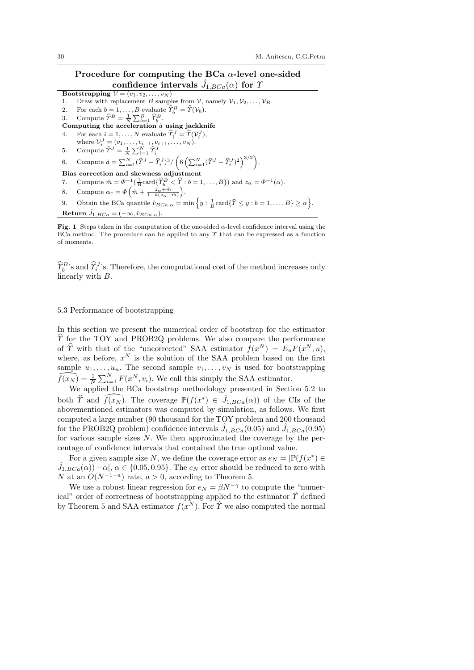# Procedure for computing the BCa  $\alpha$ -level one-sided confidence intervals  $\hat{J}_{1,BCa}(\alpha)$  for  $\gamma$

Bootstrapping  $V = (v_1, v_2, \ldots, v_N)$ 

- 1. Draw with replacement B samples from  $V$ , namely  $V_1, V_2, \ldots, V_B$ .
- 2. For each  $b = 1, ..., B$  evaluate  $\widehat{\Upsilon}_b^B = \widehat{\Upsilon}(\mathcal{V}_b)$ .
- 3. Compute  $\widehat{\Upsilon}^B = \frac{1}{N} \sum_{b=1}^B \widehat{\Upsilon}_{b}^B$ .
- Computing the acceleration  $\hat{a}$  using jackknife
- 4. For each  $i = 1, ..., N$  evaluate  $\widehat{T}_i^J = \widehat{T}(\mathcal{V}_i^J)$ ,
- where  $V_i^J = (v_1, \ldots, v_{i-1}, v_{i+1}, \ldots, v_N)$ .
- 5. Compute  $\widehat{T}^{J} = \frac{1}{N} \sum_{i=1}^{N} \widehat{T}_{i}^{J}$ .

# 6. Compute  $\hat{a} = \sum_{i=1}^{N} (\hat{Y}^J - \hat{T}_i^J)^3 / \left( 6 \left( \sum_{i=1}^{N} (\hat{Y}^J - \hat{T}_i^J)^2 \right)^{3/2} \right).$ Bias correction and skewness adjustment

- 7. Compute  $\hat{m} = \Phi^{-1}(\frac{1}{B} \text{card}\{\hat{T}_b^B < \hat{T} : b = 1, \dots, B\})$  and  $z_\alpha = \Phi^{-1}(\alpha)$ .
- 8. Compute  $\alpha_c = \Phi\left(\hat{m} + \frac{z_\alpha + \hat{m}}{1 \hat{a}(z_\alpha + \hat{m})}\right)$ .
- 9. Obtain the BCa quantile  $\hat{v}_{BCa,\alpha} = \min \left\{ y : \frac{1}{B} \text{card}\{\widehat{T} \leq y : b = 1, \ldots, B\} \geq \alpha \right\}$ . Return  $\hat{J}_{1,BCa} = (-\infty, \hat{v}_{BCa,\alpha}).$

Fig. 1 Steps taken in the computation of the one-sided α-level confidence interval using the BCa method. The procedure can be applied to any  $\gamma$  that can be expressed as a function of moments.

 $\hat{T}_{b}^{B}$ 's and  $\hat{T}_{b}^{J}$ 's. Therefore, the computational cost of the method increases only linearly with B.

# 5.3 Performance of bootstrapping

In this section we present the numerical order of bootstrap for the estimator  $\Upsilon$  for the TOY and PROB2Q problems. We also compare the performance of  $\hat{T}$  with that of the "uncorrected" SAA estimator  $f(x^N) = E_u F(x^N, u)$ , where, as before,  $x^N$  is the solution of the SAA problem based on the first sample  $u_1, \ldots, u_n$ . The second sample  $v_1, \ldots, v_N$  is used for bootstrapping  $\widehat{f(x_N)} = \frac{1}{N} \sum_{i=1}^N F(x^N, v_i)$ . We call this simply the SAA estimator.

We applied the BCa bootstrap methodology presented in Section 5.2 to both  $\hat{T}$  and  $\widehat{f(x_N)}$ . The coverage  $\mathbb{P}(f(x^*) \in \hat{J}_{1,BCa}(\alpha))$  of the CIs of the abovementioned estimators was computed by simulation, as follows. We first computed a large number (90 thousand for the TOY problem and 200 thousand for the PROB2Q problem) confidence intervals  $\hat{J}_{1,BCa}(0.05)$  and  $\hat{J}_{1,BCa}(0.95)$ for various sample sizes  $N$ . We then approximated the coverage by the percentage of confidence intervals that contained the true optimal value.

For a given sample size N, we define the coverage error as  $e_N = |\mathbb{P}(f(x^*) \in$  $(\hat{J}_{1,BCa}(\alpha)) - \alpha, \alpha \in \{0.05, 0.95\}.$  The  $e_N$  error should be reduced to zero with N at an  $O(N^{-1+a})$  rate,  $a > 0$ , according to Theorem 5.

We use a robust linear regression for  $e_N = \beta N^{-\gamma}$  to compute the "numerical" order of correctness of bootstrapping applied to the estimator  $\hat{\Upsilon}$  defined by Theorem 5 and SAA estimator  $f(x^N)$ . For  $\hat{\Upsilon}$  we also computed the normal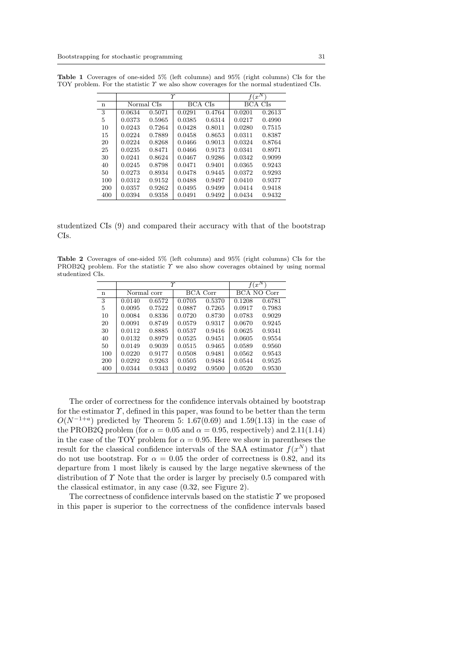|             |            | γ      | $f(x^N)$       |        |         |        |
|-------------|------------|--------|----------------|--------|---------|--------|
| $\mathbf n$ | Normal CIs |        | <b>BCA CIs</b> |        | BCA CIs |        |
| 3           | 0.0634     | 0.5071 | 0.0291         | 0.4764 | 0.0201  | 0.2613 |
| 5           | 0.0373     | 0.5965 | 0.0385         | 0.6314 | 0.0217  | 0.4990 |
| 10          | 0.0243     | 0.7264 | 0.0428         | 0.8011 | 0.0280  | 0.7515 |
| 15          | 0.0224     | 0.7889 | 0.0458         | 0.8653 | 0.0311  | 0.8387 |
| 20          | 0.0224     | 0.8268 | 0.0466         | 0.9013 | 0.0324  | 0.8764 |
| 25          | 0.0235     | 0.8471 | 0.0466         | 0.9173 | 0.0341  | 0.8971 |
| 30          | 0.0241     | 0.8624 | 0.0467         | 0.9286 | 0.0342  | 0.9099 |
| 40          | 0.0245     | 0.8798 | 0.0471         | 0.9401 | 0.0365  | 0.9243 |
| 50          | 0.0273     | 0.8934 | 0.0478         | 0.9445 | 0.0372  | 0.9293 |
| 100         | 0.0312     | 0.9152 | 0.0488         | 0.9497 | 0.0410  | 0.9377 |
| 200         | 0.0357     | 0.9262 | 0.0495         | 0.9499 | 0.0414  | 0.9418 |
| 400         | 0.0394     | 0.9358 | 0.0491         | 0.9492 | 0.0434  | 0.9432 |

Table 1 Coverages of one-sided 5% (left columns) and 95% (right columns) CIs for the TOY problem. For the statistic  $\Upsilon$  we also show coverages for the normal studentized CIs.

studentized CIs (9) and compared their accuracy with that of the bootstrap CIs.

Table 2 Coverages of one-sided 5% (left columns) and 95% (right columns) CIs for the PROB2Q problem. For the statistic  $\Upsilon$  we also show coverages obtained by using normal studentized CIs.

|             |             | Υ      | $f(x^N)$ |        |             |        |
|-------------|-------------|--------|----------|--------|-------------|--------|
| $\mathbf n$ | Normal corr |        | BCA Corr |        | BCA NO Corr |        |
| 3           | 0.0140      | 0.6572 | 0.0705   | 0.5370 | 0.1208      | 0.6781 |
| 5           | 0.0095      | 0.7522 | 0.0887   | 0.7265 | 0.0917      | 0.7983 |
| 10          | 0.0084      | 0.8336 | 0.0720   | 0.8730 | 0.0783      | 0.9029 |
| 20          | 0.0091      | 0.8749 | 0.0579   | 0.9317 | 0.0670      | 0.9245 |
| 30          | 0.0112      | 0.8885 | 0.0537   | 0.9416 | 0.0625      | 0.9341 |
| 40          | 0.0132      | 0.8979 | 0.0525   | 0.9451 | 0.0605      | 0.9554 |
| 50          | 0.0149      | 0.9039 | 0.0515   | 0.9465 | 0.0589      | 0.9560 |
| 100         | 0.0220      | 0.9177 | 0.0508   | 0.9481 | 0.0562      | 0.9543 |
| 200         | 0.0292      | 0.9263 | 0.0505   | 0.9484 | 0.0544      | 0.9525 |
| 400         | 0.0344      | 0.9343 | 0.0492   | 0.9500 | 0.0520      | 0.9530 |

The order of correctness for the confidence intervals obtained by bootstrap for the estimator  $\gamma$ , defined in this paper, was found to be better than the term  $O(N^{-1+a})$  predicted by Theorem 5: 1.67(0.69) and 1.59(1.13) in the case of the PROB2Q problem (for  $\alpha = 0.05$  and  $\alpha = 0.95$ , respectively) and 2.11(1.14) in the case of the TOY problem for  $\alpha = 0.95$ . Here we show in parentheses the result for the classical confidence intervals of the SAA estimator  $f(x^N)$  that do not use bootstrap. For  $\alpha = 0.05$  the order of correctness is 0.82, and its departure from 1 most likely is caused by the large negative skewness of the distribution of  $\Upsilon$  Note that the order is larger by precisely 0.5 compared with the classical estimator, in any case (0.32, see Figure 2).

The correctness of confidence intervals based on the statistic  $\gamma$  we proposed in this paper is superior to the correctness of the confidence intervals based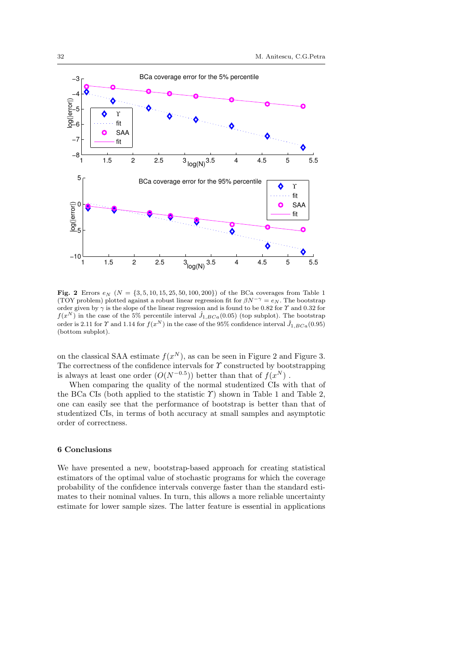

**Fig. 2** Errors  $e_N$  ( $N = \{3, 5, 10, 15, 25, 50, 100, 200\}$ ) of the BCa coverages from Table 1 (TOY problem) plotted against a robust linear regression fit for  $\beta N^{-\gamma} = e_N$ . The bootstrap order given by  $\gamma$  is the slope of the linear regression and is found to be 0.82 for  $\gamma$  and 0.32 for  $f(x^N)$  in the case of the 5% percentile interval  $\hat{J}_{1,BCa}(0.05)$  (top subplot). The bootstrap order is 2.11 for  $\Upsilon$  and 1.14 for  $f(x^N)$  in the case of the 95% confidence interval  $\hat{J}_{1,BCa}(0.95)$ (bottom subplot).

on the classical SAA estimate  $f(x^N)$ , as can be seen in Figure 2 and Figure 3. The correctness of the confidence intervals for  $\Upsilon$  constructed by bootstrapping is always at least one order  $(O(N^{-0.5}))$  better than that of  $f(x^N)$ .

When comparing the quality of the normal studentized CIs with that of the BCa CIs (both applied to the statistic  $\hat{T}$ ) shown in Table 1 and Table 2, one can easily see that the performance of bootstrap is better than that of studentized CIs, in terms of both accuracy at small samples and asymptotic order of correctness.

# 6 Conclusions

We have presented a new, bootstrap-based approach for creating statistical estimators of the optimal value of stochastic programs for which the coverage probability of the confidence intervals converge faster than the standard estimates to their nominal values. In turn, this allows a more reliable uncertainty estimate for lower sample sizes. The latter feature is essential in applications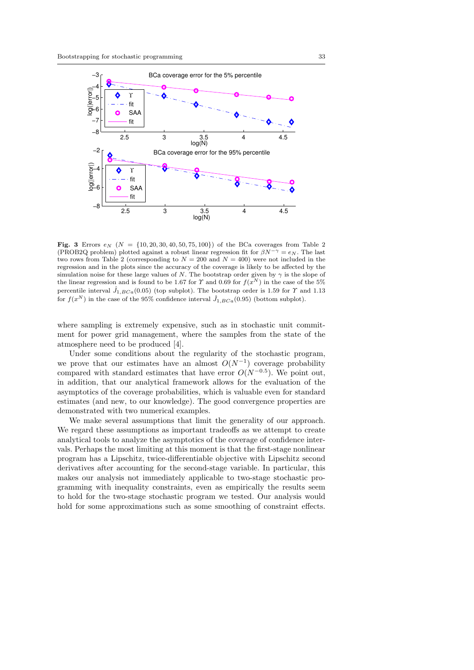

Fig. 3 Errors  $e_N$  ( $N = \{10, 20, 30, 40, 50, 75, 100\}$ ) of the BCa coverages from Table 2 (PROB2Q problem) plotted against a robust linear regression fit for  $\beta N^{-\gamma} = e_N$ . The last two rows from Table 2 (corresponding to  $N = 200$  and  $N = 400$ ) were not included in the regression and in the plots since the accuracy of the coverage is likely to be affected by the simulation noise for these large values of N. The bootstrap order given by  $\gamma$  is the slope of the linear regression and is found to be 1.67 for  $\Upsilon$  and 0.69 for  $f(x^N)$  in the case of the 5% percentile interval  $\hat{J}_{1,BCa}(0.05)$  (top subplot). The bootstrap order is 1.59 for  $\Upsilon$  and 1.13 for  $f(x^N)$  in the case of the 95% confidence interval  $\hat{J}_{1,BCa}(0.95)$  (bottom subplot).

where sampling is extremely expensive, such as in stochastic unit commitment for power grid management, where the samples from the state of the atmosphere need to be produced [4].

Under some conditions about the regularity of the stochastic program, we prove that our estimates have an almost  $O(N^{-1})$  coverage probability compared with standard estimates that have error  $O(N^{-0.5})$ . We point out, in addition, that our analytical framework allows for the evaluation of the asymptotics of the coverage probabilities, which is valuable even for standard estimates (and new, to our knowledge). The good convergence properties are demonstrated with two numerical examples.

We make several assumptions that limit the generality of our approach. We regard these assumptions as important tradeoffs as we attempt to create analytical tools to analyze the asymptotics of the coverage of confidence intervals. Perhaps the most limiting at this moment is that the first-stage nonlinear program has a Lipschitz, twice-differentiable objective with Lipschitz second derivatives after accounting for the second-stage variable. In particular, this makes our analysis not immediately applicable to two-stage stochastic programming with inequality constraints, even as empirically the results seem to hold for the two-stage stochastic program we tested. Our analysis would hold for some approximations such as some smoothing of constraint effects.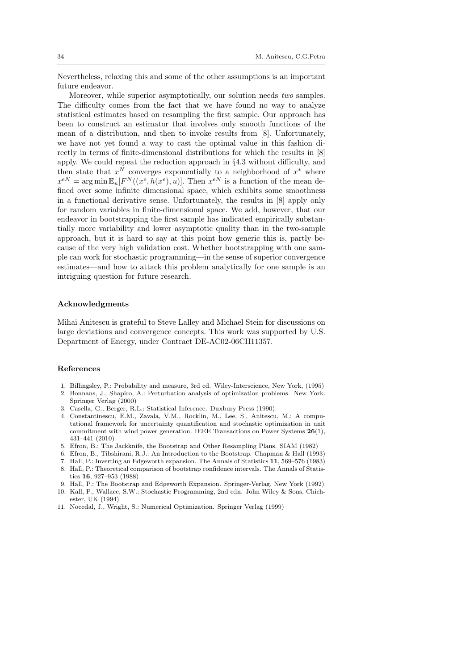Nevertheless, relaxing this and some of the other assumptions is an important future endeavor.

Moreover, while superior asymptotically, our solution needs two samples. The difficulty comes from the fact that we have found no way to analyze statistical estimates based on resampling the first sample. Our approach has been to construct an estimator that involves only smooth functions of the mean of a distribution, and then to invoke results from [8]. Unfortunately, we have not yet found a way to cast the optimal value in this fashion directly in terms of finite-dimensional distributions for which the results in [8] apply. We could repeat the reduction approach in §4.3 without difficulty, and then state that  $x^N$  converges exponentially to a neighborhood of  $x^*$  where  $x^{eN} = \arg \min \mathbb{E}_u[F^N((x^e, h(x^e), u)].$  Then  $x^{eN}$  is a function of the mean defined over some infinite dimensional space, which exhibits some smoothness in a functional derivative sense. Unfortunately, the results in [8] apply only for random variables in finite-dimensional space. We add, however, that our endeavor in bootstrapping the first sample has indicated empirically substantially more variability and lower asymptotic quality than in the two-sample approach, but it is hard to say at this point how generic this is, partly because of the very high validation cost. Whether bootstrapping with one sample can work for stochastic programming—in the sense of superior convergence estimates—and how to attack this problem analytically for one sample is an intriguing question for future research.

#### Acknowledgments

Mihai Anitescu is grateful to Steve Lalley and Michael Stein for discussions on large deviations and convergence concepts. This work was supported by U.S. Department of Energy, under Contract DE-AC02-06CH11357.

### References

- 1. Billingsley, P.: Probability and measure, 3rd ed. Wiley-Interscience, New York, (1995)
- 2. Bonnans, J., Shapiro, A.: Perturbation analysis of optimization problems. New York. Springer Verlag (2000)
- 3. Casella, G., Berger, R.L.: Statistical Inference. Duxbury Press (1990)
- 4. Constantinescu, E.M., Zavala, V.M., Rocklin, M., Lee, S., Anitescu, M.: A computational framework for uncertainty quantification and stochastic optimization in unit commitment with wind power generation. IEEE Transactions on Power Systems 26(1), 431–441 (2010)
- 5. Efron, B.: The Jackknife, the Bootstrap and Other Resampling Plans. SIAM (1982)
- 6. Efron, B., Tibshirani, R.J.: An Introduction to the Bootstrap. Chapman & Hall (1993)
- 7. Hall, P.: Inverting an Edgeworth expansion. The Annals of Statistics 11, 569–576 (1983)
- 8. Hall, P.: Theoretical comparison of bootstrap confidence intervals. The Annals of Statistics 16, 927–953 (1988)
- 9. Hall, P.: The Bootstrap and Edgeworth Expansion. Springer-Verlag, New York (1992)
- 10. Kall, P., Wallace, S.W.: Stochastic Programming, 2nd edn. John Wiley & Sons, Chichester, UK (1994)
- 11. Nocedal, J., Wright, S.: Numerical Optimization. Springer Verlag (1999)